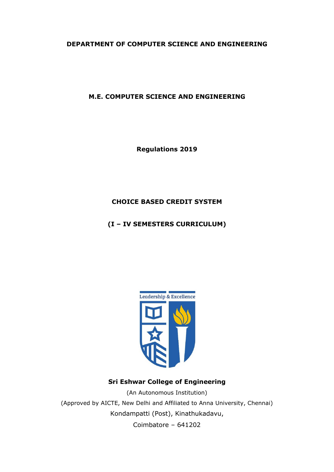# **DEPARTMENT OF COMPUTER SCIENCE AND ENGINEERING**

# **M.E. COMPUTER SCIENCE AND ENGINEERING**

**Regulations 2019**

# **CHOICE BASED CREDIT SYSTEM**

# **(I – IV SEMESTERS CURRICULUM)**



# **Sri Eshwar College of Engineering**

(An Autonomous Institution) (Approved by AICTE, New Delhi and Affiliated to Anna University, Chennai) Kondampatti (Post), Kinathukadavu, Coimbatore – 641202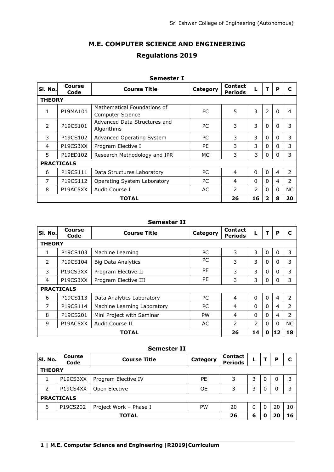# **M.E. COMPUTER SCIENCE AND ENGINEERING Regulations 2019**

|               |                   | JUIILJIUI A                                     |           |                                  |                |                |   |                |
|---------------|-------------------|-------------------------------------------------|-----------|----------------------------------|----------------|----------------|---|----------------|
| SI. No.       | Course<br>Code    | <b>Course Title</b>                             | Category  | <b>Contact</b><br><b>Periods</b> |                | т              | P | C              |
| <b>THEORY</b> |                   |                                                 |           |                                  |                |                |   |                |
| 1             | P19MA101          | Mathematical Foundations of<br>Computer Science | FC        | 5                                | 3              | $\overline{2}$ | 0 | 4              |
| $\mathcal{P}$ | P19CS101          | Advanced Data Structures and<br>Algorithms      | <b>PC</b> | 3                                | 3              | $\Omega$       | 0 | 3              |
| 3             | P19CS102          | Advanced Operating System                       | PC.       | 3                                | 3              | 0              | 0 | 3              |
| 4             | P19CS3XX          | Program Elective I                              | PE        | 3                                | 3              | $\Omega$       | 0 | 3              |
| 5.            | P19ED102          | Research Methodology and IPR                    | МC        | 3                                | 3              | $\Omega$       | 0 | 3              |
|               | <b>PRACTICALS</b> |                                                 |           |                                  |                |                |   |                |
| 6             | P19CS111          | Data Structures Laboratory                      | PC        | 4                                | $\Omega$       | $\Omega$       | 4 | 2              |
| 7             | P19CS112          | Operating System Laboratory                     | PC        | 4                                | $\Omega$       | $\Omega$       | 4 | $\overline{2}$ |
| 8             | P19AC5XX          | Audit Course I                                  | AC        | $\overline{2}$                   | $\overline{2}$ | $\Omega$       | 0 | NC.            |
|               |                   | TOTAL                                           |           | 26                               | 16             | 2              | 8 | 20             |

# **Semester I**

#### **Semester II**

| SI. No.       | Course<br>Code    | <b>Course Title</b>         | Category  | <b>Contact</b><br><b>Periods</b> |               | т        | P              | C         |
|---------------|-------------------|-----------------------------|-----------|----------------------------------|---------------|----------|----------------|-----------|
| <b>THEORY</b> |                   |                             |           |                                  |               |          |                |           |
| 1             | P19CS103          | Machine Learning            | PC        | 3                                | 3             | 0        | 0              | 3         |
| $\mathcal{P}$ | P19CS104          | Big Data Analytics          | PC        | 3                                | 3             | 0        | 0              | 3         |
| 3             | P19CS3XX          | Program Elective II         | PE        | 3                                | 3             | 0        | 0              | 3         |
| 4             | P19CS3XX          | Program Elective III        | PE        | 3                                | 3             | 0        | 0              | 3         |
|               | <b>PRACTICALS</b> |                             |           |                                  |               |          |                |           |
| 6             | P19CS113          | Data Analytics Laboratory   | РC        | $\overline{4}$                   | $\Omega$      | $\Omega$ | $\overline{4}$ | 2         |
| 7             | P19CS114          | Machine Learning Laboratory | PC        | $\overline{4}$                   | $\Omega$      | 0        | 4              | 2         |
| 8             | P19CS201          | Mini Project with Seminar   | <b>PW</b> | 4                                | $\Omega$      | 0        | 4              | 2         |
| 9             | P19AC5XX          | Audit Course II             | AC        | $\mathcal{P}$                    | $\mathcal{P}$ | $\Omega$ | $\Omega$       | <b>NC</b> |
|               |                   | TOTAL                       |           | 26                               | 14            | 0        | 12             | 18        |

|               |                       | <b>Semester II</b>     |          |                                  |          |   |    |    |
|---------------|-----------------------|------------------------|----------|----------------------------------|----------|---|----|----|
| SI. No.       | <b>Course</b><br>Code | <b>Course Title</b>    | Category | <b>Contact</b><br><b>Periods</b> | L        |   | P  |    |
| <b>THEORY</b> |                       |                        |          |                                  |          |   |    |    |
| 1             | P19CS3XX              | Program Elective IV    | PE       | 3                                | 3        | 0 | 0  | 3  |
| $\mathcal{P}$ | P19CS4XX              | Open Elective          | 0E       | 3                                | 3        | 0 | 0  | 3  |
|               | <b>PRACTICALS</b>     |                        |          |                                  |          |   |    |    |
| 6             | P19CS202              | Project Work - Phase I | PW       | 20                               | $\Omega$ | 0 | 20 | 10 |
|               | <b>TOTAL</b>          |                        |          |                                  |          | O | 20 | 16 |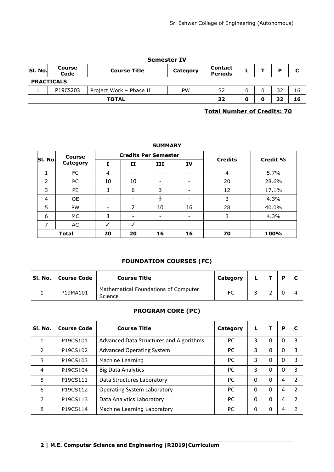|         | <b>Semester IV</b>    |                         |           |                                  |  |  |    |    |  |  |  |
|---------|-----------------------|-------------------------|-----------|----------------------------------|--|--|----|----|--|--|--|
| SI. No. | <b>Course</b><br>Code | <b>Course Title</b>     | Category  | <b>Contact</b><br><b>Periods</b> |  |  | D  | C  |  |  |  |
|         | <b>PRACTICALS</b>     |                         |           |                                  |  |  |    |    |  |  |  |
|         | P19CS203              | Project Work - Phase II | <b>PW</b> | 32                               |  |  | 32 | 16 |  |  |  |
|         |                       | <b>TOTAL</b>            |           | 32                               |  |  | 32 | 16 |  |  |  |

# **Total Number of Credits: 70**

# **SUMMARY**

|         | <b>Course</b> |                          |                          | <b>Credits Per Semester</b> |    | <b>Credits</b> | Credit % |
|---------|---------------|--------------------------|--------------------------|-----------------------------|----|----------------|----------|
| SI. No. | Category      | Ι                        | 11                       | III                         | IV |                |          |
| 1       | FC            | 4                        | $\overline{\phantom{0}}$ | $\overline{\phantom{0}}$    |    | 4              | 5.7%     |
| 2       | PC            | 10                       | 10                       | $\overline{\phantom{a}}$    |    | 20             | 28.6%    |
| 3       | <b>PE</b>     | 3                        | 6                        | 3                           |    | 12             | 17.1%    |
| 4       | <b>OE</b>     | $\overline{\phantom{0}}$ |                          | 3                           |    | 3              | 4.3%     |
| 5       | <b>PW</b>     | $\overline{\phantom{a}}$ | 2                        | 10                          | 16 | 28             | 40.0%    |
| 6       | МC            | 3                        |                          | $\overline{\phantom{a}}$    |    | 3              | 4.3%     |
| 7       | AC            |                          |                          | $\overline{\phantom{0}}$    |    |                |          |
|         | <b>Total</b>  | 20                       | 20                       | 16                          | 16 | 70             | 100%     |

# **FOUNDATION COURSES (FC)**

| SI. No. | <b>Course Code</b> | <b>Course Title</b>                             | Category |  |  |
|---------|--------------------|-------------------------------------------------|----------|--|--|
|         | P19MA101           | Mathematical Foundations of Computer<br>Science |          |  |  |

# **PROGRAM CORE (PC)**

| SI. No.       | <b>Course Code</b> | <b>Course Title</b>                     | Category  | L        |          | P | C             |
|---------------|--------------------|-----------------------------------------|-----------|----------|----------|---|---------------|
|               | P19CS101           | Advanced Data Structures and Algorithms | <b>PC</b> | 3        | 0        | 0 | 3             |
| $\mathcal{P}$ | P19CS102           | <b>Advanced Operating System</b>        | <b>PC</b> | 3        | 0        | 0 | 3             |
| 3             | P19CS103           | Machine Learning                        | <b>PC</b> | 3        | $\Omega$ | 0 | 3             |
| 4             | P19CS104           | <b>Big Data Analytics</b>               | <b>PC</b> | 3        | $\Omega$ | 0 | 3             |
| 5             | P19CS111           | Data Structures Laboratory              | <b>PC</b> | 0        | $\Omega$ | 4 | $\mathfrak z$ |
| 6             | P19CS112           | <b>Operating System Laboratory</b>      | <b>PC</b> | 0        | $\Omega$ | 4 | C             |
| 7             | P19CS113           | Data Analytics Laboratory               | <b>PC</b> | 0        | $\Omega$ | 4 | 2             |
| 8             | P19CS114           | Machine Learning Laboratory             | PC        | $\Omega$ | $\Omega$ | 4 | っ             |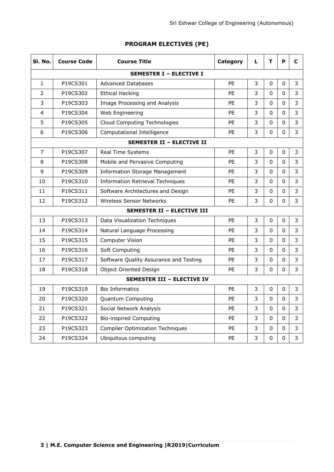# **PROGRAM ELECTIVES (PE)**

| SI. No.        | <b>Course Code</b> | <b>Course Title</b>                     | Category  | L | т        | P           | С |
|----------------|--------------------|-----------------------------------------|-----------|---|----------|-------------|---|
|                |                    | <b>SEMESTER I - ELECTIVE I</b>          |           |   |          |             |   |
| 1              | P19CS301           | <b>Advanced Databases</b>               | PF        | 3 | $\Omega$ | $\Omega$    | 3 |
| 2              | P19CS302           | <b>Ethical Hacking</b>                  | PE        | 3 | $\Omega$ | $\Omega$    | 3 |
| 3              | P19CS303           | Image Processing and Analysis           | PE        | 3 | 0        | $\Omega$    | 3 |
| 4              | P19CS304           | Web Engineering                         | <b>PE</b> | 3 | 0        | 0           | 3 |
| 5              | P19CS305           | Cloud Computing Technologies            | PE        | 3 | $\Omega$ | 0           | 3 |
| 6              | P19CS306           | Computational Intelligence              | <b>PE</b> | 3 | 0        | 0           | 3 |
|                |                    | <b>SEMESTER II - ELECTIVE II</b>        |           |   |          |             |   |
| $\overline{7}$ | P19CS307           | Real Time Systems                       | PE        | 3 | 0        | 0           | 3 |
| 8              | P19CS308           | Mobile and Pervasive Computing          | <b>PE</b> | 3 | 0        | 0           | 3 |
| 9              | P19CS309           | <b>Information Storage Management</b>   | PE        | 3 | $\Omega$ | $\Omega$    | 3 |
| 10             | P19CS310           | <b>Information Retrieval Techniques</b> | PE        | 3 | 0        | 0           | 3 |
| 11             | P19CS311           | Software Architectures and Design       | <b>PE</b> | 3 | $\Omega$ | $\Omega$    | 3 |
| 12             | P19CS312           | Wireless Sensor Networks                | PE        | 3 | 0        | 0           | 3 |
|                |                    | <b>SEMESTER II - ELECTIVE III</b>       |           |   |          |             |   |
| 13             | P19CS313           | Data Visualization Techniques           | <b>PE</b> | 3 | 0        | 0           | 3 |
| 14             | P19CS314           | Natural Language Processing             | PE        | 3 | $\Omega$ | $\Omega$    | 3 |
| 15             | P19CS315           | <b>Computer Vision</b>                  | <b>PE</b> | 3 | 0        | 0           | 3 |
| 16             | P19CS316           | Soft Computing                          | PE        | 3 | 0        | $\Omega$    | 3 |
| 17             | P19CS317           | Software Quality Assurance and Testing  | <b>PE</b> | 3 | 0        | 0           | 3 |
| 18             | P19CS318           | Object Oriented Design                  | <b>PE</b> | 3 | 0        | $\Omega$    | 3 |
|                |                    | <b>SEMESTER III - ELECTIVE IV</b>       |           |   |          |             |   |
| 19             | P19CS319           | <b>Bio Informatics</b>                  | <b>PE</b> | 3 | $\Omega$ | 0           | 3 |
| 20             | P19CS320           | Quantum Computing                       | PE        | 3 | 0        | 0           | 3 |
| 21             | P19CS321           | Social Network Analysis                 | <b>PE</b> | 3 | $\Omega$ | 0           | 3 |
| 22             | P19CS322           | <b>Bio-inspired Computing</b>           | <b>PE</b> | 3 | 0        | 0           | 3 |
| 23             | P19CS323           | <b>Compiler Optimization Techniques</b> | PE        | 3 | 0        | 0           | 3 |
| 24             | P19CS324           | Ubiquitous computing                    | PE        | 3 | 0        | $\mathbf 0$ | 3 |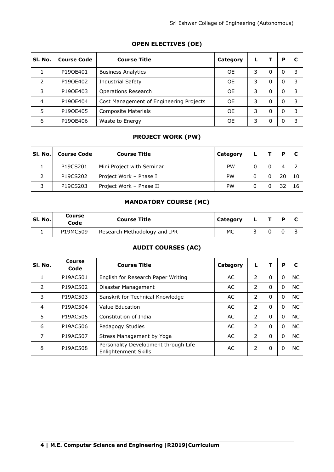| SI. No. | <b>Course Code</b> | <b>Course Title</b>                     | Category  |   |   | P        |   |
|---------|--------------------|-----------------------------------------|-----------|---|---|----------|---|
|         | P190E401           | <b>Business Analytics</b>               | <b>OE</b> | 3 | 0 | 0        | 3 |
| フ       | P190E402           | <b>Industrial Safety</b>                | <b>OE</b> | 3 | 0 | $\Omega$ | 3 |
| 3       | P190E403           | <b>Operations Research</b>              | <b>OE</b> | 3 | 0 | $\Omega$ | 3 |
| 4       | P190E404           | Cost Management of Engineering Projects | <b>OE</b> | 3 | 0 | $\Omega$ | 3 |
| 5       | P190E405           | Composite Materials                     | <b>OE</b> | 3 | 0 | $\Omega$ | 3 |
| 6       | P190E406           | Waste to Energy                         | <b>OE</b> | 3 | 0 | $\Omega$ | 3 |

# **OPEN ELECTIVES (OE)**

# **PROJECT WORK (PW)**

| SI. No. | <b>Course Code</b> | <b>Course Title</b>       | Category  |  |    |
|---------|--------------------|---------------------------|-----------|--|----|
|         | P19CS201           | Mini Project with Seminar | PW        |  |    |
|         | P19CS202           | Project Work - Phase I    | <b>PW</b> |  | 10 |
|         | P19CS203           | Project Work - Phase II   | PW        |  |    |

# **MANDATORY COURSE (MC)**

| SI. No. | Course<br>Code | <b>Course Title</b>          | Category |  | D |  |
|---------|----------------|------------------------------|----------|--|---|--|
|         | P19MC509       | Research Methodology and IPR | МC       |  |   |  |

# **AUDIT COURSES (AC)**

| SI. No.        | Course<br>Code | <b>Course Title</b>                                          | Category | L              | т        | P        | C         |
|----------------|----------------|--------------------------------------------------------------|----------|----------------|----------|----------|-----------|
|                | P19AC501       | English for Research Paper Writing                           | AC.      | 2              | $\Omega$ | 0        | <b>NC</b> |
| $\mathcal{P}$  | P19AC502       | Disaster Management                                          | AC       | 2              | $\Omega$ | $\Omega$ | <b>NC</b> |
| 3              | P19AC503       | Sanskrit for Technical Knowledge                             | AC       | 2              | $\Omega$ | $\Omega$ | <b>NC</b> |
| $\overline{4}$ | P19AC504       | Value Education                                              | AC       | $\overline{2}$ | $\Omega$ | 0        | <b>NC</b> |
| 5              | P19AC505       | Constitution of India                                        | AC       | $\mathcal{P}$  | $\Omega$ | $\Omega$ | <b>NC</b> |
| 6              | P19AC506       | Pedagogy Studies                                             | AC       | 2              | $\Omega$ | $\Omega$ | <b>NC</b> |
| $\overline{7}$ | P19AC507       | Stress Management by Yoga                                    | AC       | 2              | $\Omega$ | $\Omega$ | <b>NC</b> |
| 8              | P19AC508       | Personality Development through Life<br>Enlightenment Skills | AC       | 2              | $\Omega$ | 0        | <b>NC</b> |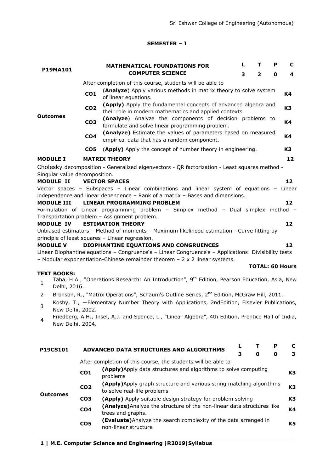# **SEMESTER – I**

|                               |                 | <b>MATHEMATICAL FOUNDATIONS FOR</b>                                                                                                                                      | L | т                      | Р           | C               |
|-------------------------------|-----------------|--------------------------------------------------------------------------------------------------------------------------------------------------------------------------|---|------------------------|-------------|-----------------|
| <b>P19MA101</b>               |                 | <b>COMPUTER SCIENCE</b>                                                                                                                                                  | 3 | $\mathbf{2}$           | $\mathbf 0$ | 4               |
|                               |                 | After completion of this course, students will be able to                                                                                                                |   |                        |             |                 |
|                               | CO <sub>1</sub> | (Analyze) Apply various methods in matrix theory to solve system                                                                                                         |   |                        |             | K4              |
|                               |                 | of linear equations.                                                                                                                                                     |   |                        |             |                 |
|                               | CO <sub>2</sub> | (Apply) Apply the fundamental concepts of advanced algebra and<br>their role in modern mathematics and applied contexts.                                                 |   |                        |             | K3              |
| Outcomes                      | CO <sub>3</sub> | (Analyze) Analyze the components of decision problems to                                                                                                                 |   |                        |             | K4              |
|                               |                 | formulate and solve linear programming problem.                                                                                                                          |   |                        |             |                 |
|                               | CO <sub>4</sub> | (Analyze) Estimate the values of parameters based on measured<br>empirical data that has a random component.                                                             |   |                        |             | K4              |
|                               | CO <sub>5</sub> | (Apply) Apply the concept of number theory in engineering.                                                                                                               |   |                        |             | K3              |
| <b>MODULE I</b>               |                 | <b>MATRIX THEORY</b>                                                                                                                                                     |   |                        |             | 12              |
|                               |                 | Cholesky decomposition - Generalized eigenvectors - QR factorization - Least squares method -                                                                            |   |                        |             |                 |
| Singular value decomposition. |                 |                                                                                                                                                                          |   |                        |             |                 |
| <b>MODULE II</b>              |                 | <b>VECTOR SPACES</b>                                                                                                                                                     |   |                        |             | 12              |
|                               |                 | Vector spaces - Subspaces - Linear combinations and linear system of equations - Linear<br>independence and linear dependence - Rank of a matrix - Bases and dimensions. |   |                        |             |                 |
| <b>MODULE III</b>             |                 | <b>LINEAR PROGRAMMING PROBLEM</b>                                                                                                                                        |   |                        |             | 12 <sub>2</sub> |
|                               |                 | Formulation of Linear programming problem - Simplex method - Dual simplex method -                                                                                       |   |                        |             |                 |
|                               |                 | Transportation problem - Assignment problem.                                                                                                                             |   |                        |             |                 |
| <b>MODULE IV</b>              |                 | <b>ESTIMATION THEORY</b>                                                                                                                                                 |   |                        |             | 12              |
|                               |                 | Unbiased estimators - Method of moments - Maximum likelihood estimation - Curve fitting by<br>principle of least squares - Linear regression.                            |   |                        |             |                 |
| <b>MODULE V</b>               |                 | DIOPHANTINE EQUATIONS AND CONGRUENCES                                                                                                                                    |   |                        |             | 12              |
|                               |                 | Linear Diophantine equations - Congruence's - Linear Congruence's - Applications: Divisibility tests                                                                     |   |                        |             |                 |
|                               |                 | - Modular exponentiation-Chinese remainder theorem $-2 \times 2$ linear systems.                                                                                         |   |                        |             |                 |
|                               |                 |                                                                                                                                                                          |   | <b>TOTAL: 60 Hours</b> |             |                 |
| <b>TEXT BOOKS:</b>            |                 | Taha, H.A., "Operations Research: An Introduction", 9 <sup>th</sup> Edition, Pearson Education, Asia, New                                                                |   |                        |             |                 |
| $\mathbf{1}$<br>Delhi, 2016.  |                 |                                                                                                                                                                          |   |                        |             |                 |
| 2                             |                 | Bronson, R., "Matrix Operations", Schaum's Outline Series, 2 <sup>nd</sup> Edition, McGraw Hill, 2011.                                                                   |   |                        |             |                 |
|                               |                 | Koshy, T., -Elementary Number Theory with Applications, 2ndEdition, Elsevier Publications,                                                                               |   |                        |             |                 |
| 3<br>New Delhi, 2002.         |                 |                                                                                                                                                                          |   |                        |             |                 |
| 4                             |                 | Friedberg, A.H., Insel, A.J. and Spence, L., "Linear Algebra", 4th Edition, Prentice Hall of India,                                                                      |   |                        |             |                 |
| New Delhi, 2004.              |                 |                                                                                                                                                                          |   |                        |             |                 |
|                               |                 |                                                                                                                                                                          |   |                        |             |                 |
|                               |                 | L                                                                                                                                                                        |   | Τ                      | P           | C               |
| P19CS101                      |                 | ADVANCED DATA STRUCTURES AND ALGORITHMS<br>3                                                                                                                             |   | 0                      | 0           | 3               |
|                               |                 | After completion of this course, the students will be able to                                                                                                            |   |                        |             |                 |
|                               | CO <sub>1</sub> | (Apply) Apply data structures and algorithms to solve computing                                                                                                          |   |                        |             | K3              |
|                               |                 | problems                                                                                                                                                                 |   |                        |             |                 |
| Outcomes                      | CO <sub>2</sub> | (Apply) Apply graph structure and various string matching algorithms<br>to solve real-life problems                                                                      |   |                        |             | K3              |
|                               | CO <sub>3</sub> | (Apply) Apply suitable design strategy for problem solving                                                                                                               |   |                        |             | K3              |
|                               | CO <sub>4</sub> | (Analyze) Analyze the structure of the non-linear data structures like                                                                                                   |   |                        |             | Κ4              |
|                               |                 | trees and graphs.<br>(Evaluate) Analyze the search complexity of the data arranged in                                                                                    |   |                        |             |                 |
|                               | CO <sub>5</sub> | non-linear structure                                                                                                                                                     |   |                        |             | K5              |
|                               |                 |                                                                                                                                                                          |   |                        |             |                 |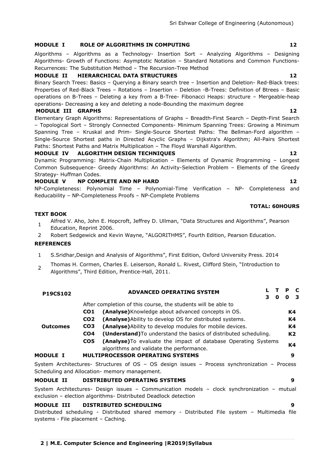#### **MODULE I ROLE OF ALGORITHMS IN COMPUTING 12**

Algorithms – Algorithms as a Technology- Insertion Sort – Analyzing Algorithms – Designing Algorithms- Growth of Functions: Asymptotic Notation – Standard Notations and Common Functions-Recurrences: The Substitution Method – The Recursion-Tree Method

#### **MODULE II HIERARCHICAL DATA STRUCTURES 12**

Binary Search Trees: Basics – Querying a Binary search tree – Insertion and Deletion- Red-Black trees: Properties of Red-Black Trees – Rotations – Insertion – Deletion -B-Trees: Definition of Btrees – Basic operations on B-Trees – Deleting a key from a B-Tree- Fibonacci Heaps: structure – Mergeable-heap operations- Decreasing a key and deleting a node-Bounding the maximum degree

#### **MODULE III GRAPHS 12**

Elementary Graph Algorithms: Representations of Graphs – Breadth-First Search – Depth-First Search – Topological Sort – Strongly Connected Components- Minimum Spanning Trees: Growing a Minimum Spanning Tree – Kruskal and Prim- Single-Source Shortest Paths: The Bellman-Ford algorithm – Single-Source Shortest paths in Directed Acyclic Graphs - Dijkstra's Algorithm; All-Pairs Shortest Paths: Shortest Paths and Matrix Multiplication – The Floyd Warshall Algorithm.

#### **MODULE IV ALGORITHM DESIGN TECHNIQUES 12**

Dynamic Programming: Matrix-Chain Multiplication – Elements of Dynamic Programming – Longest Common Subsequence- Greedy Algorithms: An Activity-Selection Problem – Elements of the Greedy Strategy- Huffman Codes.

#### **MODULE V NP COMPLETE AND NP HARD 12** 12

NP-Completeness: Polynomial Time – Polynomial-Time Verification – NP- Completeness and Reducability – NP-Completeness Proofs – NP-Complete Problems

#### **TEXT BOOK**

- 1 Alfred V. Aho, John E. Hopcroft, Jeffrey D. Ullman, "Data Structures and Algorithms", Pearson
- Education, Reprint 2006.
- 2 Robert Sedgewick and Kevin Wayne, "ALGORITHMS", Fourth Edition, Pearson Education.

#### **REFERENCES**

- 1 S.Sridhar, Design and Analysis of Algorithms", First Edition, Oxford University Press. 2014
- $\overline{2}$ Thomas H. Cormen, Charles E. Leiserson, Ronald L. Rivest, Clifford Stein, "Introduction to Algorithms‖, Third Edition, Prentice-Hall, 2011.

|                                                                           |                 | <b>ADVANCED OPERATING SYSTEM</b>                                                                                                               |    |   | P            | C              |
|---------------------------------------------------------------------------|-----------------|------------------------------------------------------------------------------------------------------------------------------------------------|----|---|--------------|----------------|
|                                                                           |                 |                                                                                                                                                | З. | O | <sup>0</sup> | 3              |
|                                                                           |                 | After completion of this course, the students will be able to                                                                                  |    |   |              |                |
|                                                                           | CO <sub>1</sub> | (Analyse) Knowledge about advanced concepts in OS.                                                                                             |    |   |              | K4             |
|                                                                           | CO <sub>2</sub> | <b>(Analyse)</b> Ability to develop OS for distributed systems.                                                                                |    |   |              | K4             |
| <b>P19CS102</b><br><b>Outcomes</b><br><b>MODULE I</b><br><b>MODULE II</b> | CO <sub>3</sub> | (Analyse) Ability to develop modules for mobile devices.                                                                                       |    |   |              | K4             |
|                                                                           | CO <sub>4</sub> | <b>(Understand)</b> To understand the basics of distributed scheduling.                                                                        |    |   |              | K <sub>2</sub> |
|                                                                           | CO <sub>5</sub> | (Analyse) To evaluate the impact of database Operating Systems<br>algorithms and validate the performance.                                     |    |   |              | K4             |
|                                                                           |                 | <b>MULTIPROCESSOR OPERATING SYSTEMS</b>                                                                                                        |    |   |              | 9              |
|                                                                           |                 | System Architectures- Structures of OS - OS design issues - Process synchronization - Process<br>Scheduling and Allocation- memory management. |    |   |              |                |
|                                                                           |                 | <b>DISTRIBUTED OPERATING SYSTEMS</b>                                                                                                           |    |   |              | 9              |

System Architectures- Design issues – Communication models – clock synchronization – mutual exclusion – election algorithms- Distributed Deadlock detection

#### **MODULE III DISTRIBUTED SCHEDULING 9**

Distributed scheduling - Distributed shared memory - Distributed File system – Multimedia file systems - File placement – Caching.

#### **TOTAL: 60HOURS**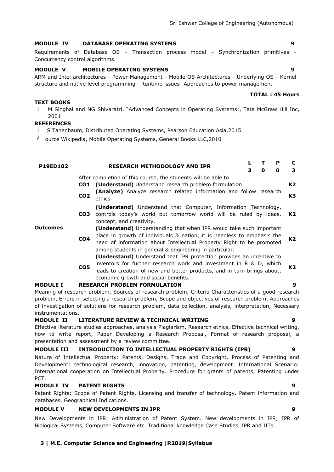### **MODULE IV DATABASE OPERATING SYSTEMS 9**

### Requirements of Database OS – Transaction process model – Synchronization primitives - Concurrency control algorithms.

### **MODULE V MOBILE OPERATING SYSTEMS 9**

ARM and Intel architectures - Power Management - Mobile OS Architectures - Underlying OS - Kernel structure and native level programming - Runtime issues- Approaches to power management

#### **TEXT BOOKS**

1 M Singhal and NG Shivaratri, "Advanced Concepts in Operating Systems:, Tata McGraw Hill Inc, 2001

### **REFERENCES**

- 1 A S Tanenbaum, Distributed Operating Systems, Pearson Education Asia,2015
- 2 ource Wikipedia, Mobile Operating Systems, General Books LLC,2010

#### **P19ED102 RESEARCH METHODOLOGY AND IPR <sup>L</sup> <sup>T</sup> <sup>P</sup> <sup>C</sup> 3 0 0 3 Outcomes** After completion of this course, the students will be able to **CO1 (Understand)** Understand research problem formulation **K2 CO2 (Analyze)** Analyze research related information and follow research ethics **K3 CO3** controls today's world but tomorrow world will be ruled by ideas, **(Understand)** Understand that Computer, Information Technology, concept, and creativity. **K2 CO4 (Understand)** Understanding that when IPR would take such important place in growth of individuals & nation, it is needless to emphasis the need of information about Intellectual Property Right to be promoted among students in general & engineering in particular. **K2 CO5 (Understand)** Understand that IPR protection provides an incentive to inventors for further research work and investment in R & D, which leads to creation of new and better products, and in turn brings about, economic growth and social benefits. **K2 MODULE I RESEARCH PROBLEM FORMULATION 9** Meaning of research problem, Sources of research problem, Criteria Characteristics of a good research

problem, Errors in selecting a research problem, Scope and objectives of research problem. Approaches of investigation of solutions for research problem, data collection, analysis, interpretation, Necessary instrumentations.

### **MODULE II LITERATURE REVIEW & TECHNICAL WRITING 9**

Effective literature studies approaches, analysis Plagiarism, Research ethics, Effective technical writing, how to write report, Paper Developing a Research Proposal, Format of research proposal, a presentation and assessment by a review committee.

### **MODULE III INTRODUCTION TO INTELLECTUAL PROPERTY RIGHTS (IPR) 9**

Nature of Intellectual Property: Patents, Designs, Trade and Copyright. Process of Patenting and Development: technological research, innovation, patenting, development. International Scenario: International cooperation on Intellectual Property. Procedure for grants of patents, Patenting under PCT.

### **MODULE IV PATENT RIGHTS 9**

Patent Rights: Scope of Patent Rights. Licensing and transfer of technology. Patent information and databases. Geographical Indications.

#### **MODULE V NEW DEVELOPMENTS IN IPR 9**

New Developments in IPR: Administration of Patent System. New developments in IPR; IPR of Biological Systems, Computer Software etc. Traditional knowledge Case Studies, IPR and IITs.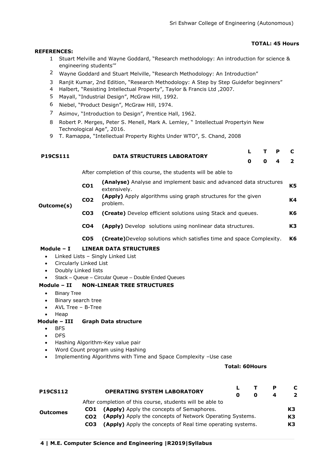### **TOTAL: 45 Hours**

#### **REFERENCES:**

- 1 Stuart Melville and Wayne Goddard, "Research methodology: An introduction for science & engineering students"
- <sup>2</sup> Wayne Goddard and Stuart Melville, "Research Methodology: An Introduction"
- 3 Ranjit Kumar, 2nd Edition, "Research Methodology: A Step by Step Guidefor beginners"
- 4 Halbert, "Resisting Intellectual Property", Taylor & Francis Ltd, 2007.
- 5 Mayall, "Industrial Design", McGraw Hill, 1992.
- 6 Niebel, "Product Design", McGraw Hill, 1974.
- 7 Asimov, "Introduction to Design", Prentice Hall, 1962.
- 8 Robert P. Merges, Peter S. Menell, Mark A. Lemley, "Intellectual Propertyin New Technological Age", 2016.
- 9 T. Ramappa, "Intellectual Property Rights Under WTO", S. Chand, 2008

| P19CS111                                                      |                 | <b>DATA STRUCTURES LABORATORY</b>                                                  |   |   | Р | C              |
|---------------------------------------------------------------|-----------------|------------------------------------------------------------------------------------|---|---|---|----------------|
|                                                               |                 |                                                                                    | 0 | 0 | 4 | $\overline{2}$ |
| After completion of this course, the students will be able to |                 |                                                                                    |   |   |   |                |
| Outcome(s)                                                    | CO <sub>1</sub> | (Analyse) Analyse and implement basic and advanced data structures<br>extensively. |   |   |   | K <sub>5</sub> |
|                                                               | CO <sub>2</sub> | (Apply) Apply algorithms using graph structures for the given<br>problem.          |   |   |   | K4             |
|                                                               | CO <sub>3</sub> | <b>(Create)</b> Develop efficient solutions using Stack and queues.                |   |   |   | K6             |
|                                                               | CO <sub>4</sub> | <b>(Apply)</b> Develop solutions using nonlinear data structures.                  |   |   |   | K3             |
|                                                               | CO <sub>5</sub> | <b>(Create)</b> Develop solutions which satisfies time and space Complexity.       |   |   |   | K <sub>6</sub> |
|                                                               |                 |                                                                                    |   |   |   |                |

# **Module – I LINEAR DATA STRUCTURES**

- Linked Lists Singly Linked List
- Circularly Linked List
- Doubly Linked lists
- Stack Queue Circular Queue Double Ended Queues

# **Module – II NON-LINEAR TREE STRUCTURES**

- Binary Tree
- Binary search tree
- AVL Tree B-Tree
- Heap

# **Module – III Graph Data structure**

- BFS
- DFS
- Hashing Algorithm-Key value pair
- Word Count program using Hashing
- Implementing Algorithms with Time and Space Complexity –Use case

# **Total: 60Hours**

| <b>P19CS112</b> |                 | <b>OPERATING SYSTEM LABORATORY</b>                         | O | Р<br>4 | C<br>2 |
|-----------------|-----------------|------------------------------------------------------------|---|--------|--------|
|                 |                 | After completion of this course, students will be able to  |   |        |        |
|                 | CO1             | (Apply) Apply the concepts of Semaphores.                  |   |        | K3     |
| <b>Outcomes</b> | CO <sub>2</sub> | (Apply) Apply the concepts of Network Operating Systems.   |   |        | K3     |
|                 | CO <sub>3</sub> | (Apply) Apply the concepts of Real time operating systems. |   |        | K3     |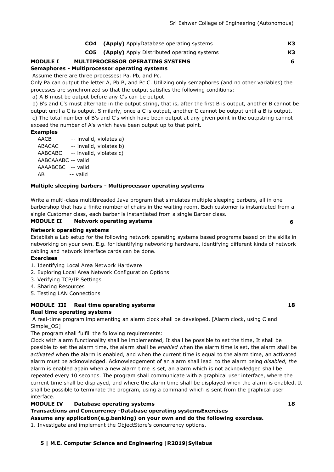| <b>CO4</b> (Apply) ApplyDatabase operating systems     | К3 |
|--------------------------------------------------------|----|
| <b>CO5</b> (Apply) Apply Distributed operating systems |    |

### **MODULE I MULTIPROCESSOR OPERATING SYSTEMS 6**

**Semaphores - Multiprocessor operating systems**

Assume there are three processes: Pa, Pb, and Pc.

Only Pa can output the letter A, Pb B, and Pc C. Utilizing only semaphores (and no other variables) the processes are synchronized so that the output satisfies the following conditions:

a) A B must be output before any C's can be output.

b) B's and C's must alternate in the output string, that is, after the first B is output, another B cannot be output until a C is output. Similarly, once a C is output, another C cannot be output until a B is output. c) The total number of B's and C's which have been output at any given point in the outpstring cannot exceed the number of A's which have been output up to that point.

### **Examples**

| AACB               |          | -- invalid, violates a) |  |
|--------------------|----------|-------------------------|--|
| ABACAC             |          | -- invalid, violates b) |  |
| AABCABC            |          | -- invalid, violates c) |  |
| AABCAAABC -- valid |          |                         |  |
| AAAABCBC -- valid  |          |                         |  |
| AB                 | -- valid |                         |  |
|                    |          |                         |  |

#### **Multiple sleeping barbers - Multiprocessor operating systems**

Write a multi-class multithreaded Java program that simulates multiple sleeping barbers, all in one barbershop that has a finite number of chairs in the waiting room. Each customer is instantiated from a single Customer class, each barber is instantiated from a single Barber class.

#### **MODULE II Network operating systems 6**

#### **Network operating systems**

Establish a Lab setup for the following network operating systems based programs based on the skills in networking on your own. E.g. for identifying networking hardware, identifying different kinds of network cabling and network interface cards can be done.

#### **Exercises**

- 1. Identifying Local Area Network Hardware
- 2. Exploring Local Area Network Configuration Options
- 3. Verifying TCP/IP Settings
- 4. Sharing Resources
- 5. Testing LAN Connections

# **MODULE III Real time operating systems 18 Real time operating systems**

A real-time program implementing an alarm clock shall be developed. [Alarm clock, using C and Simple\_OS]

The program shall fulfill the following requirements:

Clock with alarm functionality shall be implemented, It shall be possible to set the time, It shall be possible to set the alarm time, the alarm shall be *enabled* when the alarm time is set, the alarm shall be *activated* when the alarm is enabled, and when the current time is equal to the alarm time, an activated alarm must be acknowledged. Acknowledgement of an alarm shall lead to the alarm being *disabled, the* alarm is enabled again when a new alarm time is set, an alarm which is not acknowledged shall be repeated every 10 seconds. The program shall communicate with a graphical user interface, where the current time shall be displayed, and where the alarm time shall be displayed when the alarm is enabled. It shall be possible to terminate the program, using a command which is sent from the graphical user interface.

#### **MODULE IV Database operating systems 18**

### **Transactions and Concurrency -Database operating systemsExercises**

**Assume any application(e.g.banking) on your own and do the following exercises.** 

1. Investigate and implement the ObjectStore's concurrency options.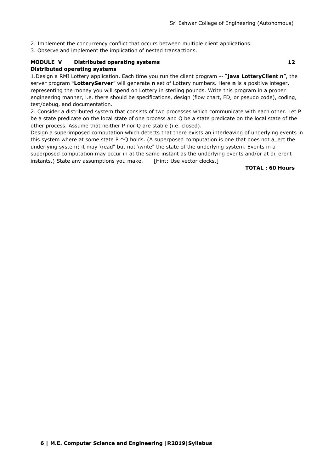2. Implement the concurrency conflict that occurs between multiple client applications.

3. Observe and implement the implication of nested transactions.

### **MODULE V Distributed operating systems 12 Distributed operating systems**

1.Design a RMI Lottery application. Each time you run the client program -- "java LotteryClient n", the server program "LotteryServer" will generate **n** set of Lottery numbers. Here **n** is a positive integer, representing the money you will spend on Lottery in sterling pounds. Write this program in a proper engineering manner, i.e. there should be specifications, design (flow chart, FD, or pseudo code), coding, test/debug, and documentation.

2. Consider a distributed system that consists of two processes which communicate with each other. Let P be a state predicate on the local state of one process and Q be a state predicate on the local state of the other process. Assume that neither P nor Q are stable (i.e. closed).

Design a superimposed computation which detects that there exists an interleaving of underlying events in this system where at some state  $P \wedge Q$  holds. (A superposed computation is one that does not a ect the underlying system; it may \read" but not \write" the state of the underlying system. Events in a superposed computation may occur in at the same instant as the underlying events and/or at di erent instants.) State any assumptions you make. [Hint: Use vector clocks.]

#### **TOTAL : 60 Hours**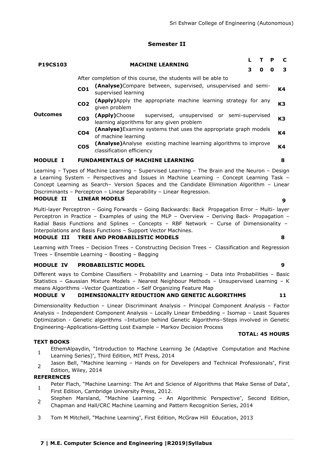### **Semester II**

| <b>P19CS103</b> |                                                                                                            |                                                                                                        |                                                                     | T. | P | C  |  |  |  |  |  |  |
|-----------------|------------------------------------------------------------------------------------------------------------|--------------------------------------------------------------------------------------------------------|---------------------------------------------------------------------|----|---|----|--|--|--|--|--|--|
|                 |                                                                                                            | <b>MACHINE LEARNING</b><br>3<br>0<br>O                                                                 |                                                                     |    |   |    |  |  |  |  |  |  |
|                 |                                                                                                            | After completion of this course, the students will be able to                                          |                                                                     |    |   |    |  |  |  |  |  |  |
|                 | CO <sub>1</sub>                                                                                            | supervised learning                                                                                    | (Analyse) Compare between, supervised, unsupervised and semi-<br>K4 |    |   |    |  |  |  |  |  |  |
|                 | CO <sub>2</sub>                                                                                            | (Apply) Apply the appropriate machine learning strategy for any<br>given problem                       |                                                                     |    |   |    |  |  |  |  |  |  |
| Outcomes        | CO <sub>3</sub>                                                                                            | (Apply)Choose supervised, unsupervised or semi-supervised<br>learning algorithms for any given problem |                                                                     |    |   |    |  |  |  |  |  |  |
|                 | (Analyse) Examine systems that uses the appropriate graph models<br>CO <sub>4</sub><br>of machine learning |                                                                                                        |                                                                     |    |   | K4 |  |  |  |  |  |  |
|                 | CO <sub>5</sub>                                                                                            | (Analyse) Analyse existing machine learning algorithms to improve<br>classification efficiency         |                                                                     |    |   | Κ4 |  |  |  |  |  |  |
| <b>MODULE</b>   |                                                                                                            | <b>FUNDAMENTALS OF MACHINE LEARNING</b>                                                                |                                                                     |    |   | 8  |  |  |  |  |  |  |

Learning – Types of Machine Learning – Supervised Learning – The Brain and the Neuron – Design a Learning System – Perspectives and Issues in Machine Learning – Concept Learning Task – Concept Learning as Search– Version Spaces and the Candidate Elimination Algorithm – Linear Discriminants – Perceptron – Linear Separability – Linear Regression.

#### **MODULE II LINEAR MODELS 9**

Multi-layer Perceptron – Going Forwards – Going Backwards: Back Propagation Error – Multi- layer Perceptron in Practice – Examples of using the MLP – Overview – Deriving Back- Propagation – Radial Basis Functions and Splines – Concepts – RBF Network – Curse of Dimensionality – Interpolations and Basis Functions – Support Vector Machines.

#### **MODULE III TREE AND PROBABILISTIC MODELS 8**

Learning with Trees – Decision Trees – Constructing Decision Trees – Classification and Regression Trees – Ensemble Learning – Boosting – Bagging

#### **MODULE IV PROBABILISTIC MODEL 9**

Different ways to Combine Classifiers – Probability and Learning – Data into Probabilities – Basic Statistics – Gaussian Mixture Models – Nearest Neighbour Methods – Unsupervised Learning – K means Algorithms –Vector Quantization – Self Organizing Feature Map

### **MODULE V DIMENSIONALITY REDUCTION AND GENETIC ALGORITHMS 11**

Dimensionality Reduction – Linear Discriminant Analysis – Principal Component Analysis – Factor Analysis – Independent Component Analysis – Locally Linear Embedding – Isomap – Least Squares Optimization - Genetic algorithms –Intuition behind Genetic Algorithms–Steps involved in Genetic Engineering–Applications-Getting Lost Example – Markov Decision Process

#### **TEXT BOOKS**

- 1 EthemAlpaydin, "Introduction to Machine Learning 3e (Adaptive Computation and Machine Learning Series)", Third Edition, MIT Press, 2014
- $\overline{2}$ Jason Bell, "Machine learning - Hands on for Developers and Technical Professionals", First Edition, Wiley, 2014

#### **REFERENCES**

- 1 Peter Flach, "Machine Learning: The Art and Science of Algorithms that Make Sense of Data", First Edition, Cambridge University Press, 2012.
- 2 Stephen Marsland, "Machine Learning - An Algorithmic Perspective", Second Edition, Chapman and Hall/CRC Machine Learning and Pattern Recognition Series, 2014
- 3 Tom M Mitchell, "Machine Learning", First Edition, McGraw Hill Education, 2013

# **TOTAL: 45 HOURS**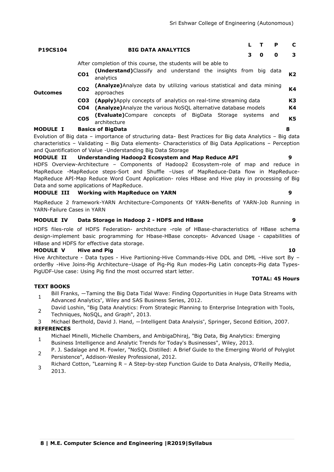| <b>P19CS104</b> |                 | <b>BIG DATA ANALYTICS</b>                                                                                | з | 0 | P<br>0 | 3  |  |  |
|-----------------|-----------------|----------------------------------------------------------------------------------------------------------|---|---|--------|----|--|--|
|                 |                 | After completion of this course, the students will be able to                                            |   |   |        |    |  |  |
|                 | CO <sub>1</sub> | <b>(Understand)</b> Classify and understand the insights from big data<br>analytics                      |   |   |        | К2 |  |  |
| <b>Outcomes</b> | CO <sub>2</sub> | (Analyze) Analyze data by utilizing various statistical and data mining<br>approaches                    |   |   |        |    |  |  |
|                 | CO3             | <b>(Apply)</b> Apply concepts of analytics on real-time streaming data                                   |   |   |        |    |  |  |
|                 | CO4             | (Analyze) Analyze the various NoSQL alternative database models                                          |   |   |        | К4 |  |  |
|                 | CO <sub>5</sub> | <b>(Evaluate)</b> Compare concepts of BigData Storage systems and<br>architecture                        |   |   |        | K5 |  |  |
| <b>MODULE I</b> |                 | <b>Basics of BigData</b>                                                                                 |   |   |        | 8  |  |  |
|                 |                 | Evolution of Big data - importance of structuring data- Best Practices for Big data Analytics - Big data |   |   |        |    |  |  |
|                 |                 | characteristics - Validating - Big Data elements- Characteristics of Big Data Applications - Perception  |   |   |        |    |  |  |

and Quantification of Value -Understanding Big Data Storage

# **MODULE II Understanding Hadoop2 Ecosystem and Map Reduce API 9**

HDFS Overview-Architecture – Components of Hadoop2 Ecosystem-role of map and reduce in MapReduce -MapReduce steps-Sort and Shuffle –Uses of MapReduce-Data flow in MapReduce-MapReduce API-Map Reduce Word Count Application- roles HBase and Hive play in processing of Big Data and some applications of MapReduce.

#### **MODULE III Working with MapReduce on YARN 9**

MapReduce 2 framework-YARN Architecture-Components Of YARN-Benefits of YARN-Job Running in YARN-Failure Cases in YARN

#### **MODULE IV Data Storage in Hadoop 2 - HDFS and HBase 9**

HDFS files-role of HDFS Federation- architecture -role of HBase-characteristics of HBase schema design-implement basic programming for Hbase-HBase concepts- Advanced Usage - capabilities of HBase and HDFS for effective data storage.

### **MODULE V Hive and Pig 10**

Hive Architecture - Data types - Hive Partioning-Hive Commands-Hive DDL and DML –Hive sort By – orderBy -Hive Joins-Pig Architecture–Usage of Pig-Pig Run modes-Pig Latin concepts-Pig data Types-PigUDF-Use case: Using Pig find the most occurred start letter.

#### **TOTAL: 45 Hours**

### **TEXT BOOKS**

- 1 Bill Franks, ―Taming the Big Data Tidal Wave: Finding Opportunities in Huge Data Streams with Advanced Analytics", Wiley and SAS Business Series, 2012.
- 2 David Loshin, "Big Data Analytics: From Strategic Planning to Enterprise Integration with Tools, Techniques, NoSQL, and Graph", 2013.
- 3 Michael Berthold, David J. Hand, ―Intelligent Data Analysis", Springer, Second Edition, 2007.

- 1 Michael Minelli, Michelle Chambers, and AmbigaDhiraj, "Big Data, Big Analytics: Emerging Business Intelligence and Analytic Trends for Today's Businesses", Wiley, 2013.
- $\overline{2}$ P. J. Sadalage and M. Fowler, "NoSQL Distilled: A Brief Guide to the Emerging World of Polyglot Persistence", Addison-Wesley Professional, 2012.
- 3 Richard Cotton, "Learning R - A Step-by-step Function Guide to Data Analysis, O'Reilly Media, 2013.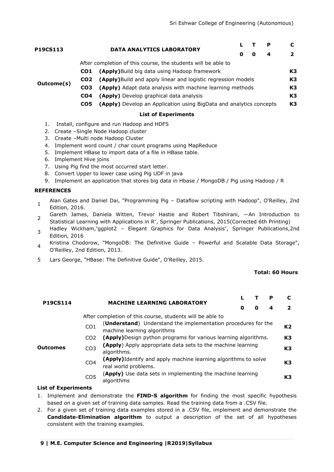|            |                 | <b>DATA ANALYTICS LABORATORY</b>                                    |   |   |                | C. |
|------------|-----------------|---------------------------------------------------------------------|---|---|----------------|----|
| P19CS113   |                 | O                                                                   | 0 | 4 | $\overline{2}$ |    |
|            |                 | After completion of this course, the students will be able to       |   |   |                |    |
|            | CO1             | (Apply) Build big data using Hadoop framework                       |   |   |                | K3 |
|            | CO <sub>2</sub> | (Apply) Build and apply linear and logistic regression models       |   |   |                | K3 |
| Outcome(s) | CO <sub>3</sub> | (Apply) Adapt data analysis with machine learning methods           |   |   |                | K3 |
|            | CO <sub>4</sub> | (Apply) Develop graphical data analysis                             |   |   | K3             |    |
|            | CO5             | (Apply) Develop an Application using BigData and analytics concepts |   |   |                | K3 |

#### **List of Experiments**

- 1. Install, configure and run Hadoop and HDFS
- 2. Create –Single Node Hadoop cluster
- 3. Create –Multi node Hadoop Cluster
- 4. Implement word count / char count programs using MapReduce
- 5. Implement HBase to import data of a file in HBase table.
- 6. Implement Hive joins
- 7. Using Pig find the most occurred start letter.
- 8. Convert Upper to lower case using Pig UDF in java
- 9. Implement an application that stores big data in Hbase / MongoDB / Pig using Hadoop / R

#### **REFERENCES**

- 1 Alan Gates and Daniel Dai, "Programming Pig – Dataflow scripting with Hadoop", O'Reilley, 2nd Edition, 2016.
- $\mathcal{L}$ Gareth James, Daniela Witten, Trevor Hastie and Robert Tibshirani, ―An Introduction to Statistical Learning with Applications in R", Springer Publications, 2015(Corrected 6th Printing)
- 3 Hadley Wickham,"ggplot2 – Elegant Graphics for Data Analysis", Springer Publications,2nd Edition, 2016
- 4 Kristina Chodorow, "MongoDB: The Definitive Guide – Powerful and Scalable Data Storage", O'Reilley, 2nd Edition, 2013.
- 5 Lars George, "HBase: The Definitive Guide", O'Reilley, 2015.

#### **Total: 60 Hours**

| <b>P19CS114</b> |                 | <b>MACHINE LEARNING LABORATORY</b>                                                             |   |   | P |                |
|-----------------|-----------------|------------------------------------------------------------------------------------------------|---|---|---|----------------|
|                 |                 |                                                                                                | 0 | O | 4 | $\overline{2}$ |
|                 |                 | After completion of this course, students will be able to                                      |   |   |   |                |
| <b>Outcomes</b> | CO <sub>1</sub> | (Understand) Understand the implementation procedures for the<br>machine learning algorithms   |   |   |   | K2             |
|                 | CO <sub>2</sub> | <b>(Apply)</b> Design python programs for various learning algorithms.                         |   |   |   | K3             |
|                 | CO <sub>3</sub> | (Apply) Apply appropriate data sets to the machine learning<br>algorithms.                     |   |   |   | K3             |
|                 | CO <sub>4</sub> | <b>(Apply)</b> Identify and apply machine learning algorithms to solve<br>real world problems. |   |   |   | K3             |
|                 | CO <sub>5</sub> | (Apply) Use data sets in implementing the machine learning<br>algorithms                       |   |   |   | K3             |

#### **List of Experiments**

- 1. Implement and demonstrate the **FIND-S algorithm** for finding the most specific hypothesis based on a given set of training data samples. Read the training data from a .CSV file.
- 2. For a given set of training data examples stored in a .CSV file, implement and demonstrate the **Candidate-Elimination algorithm** to output a description of the set of all hypotheses consistent with the training examples.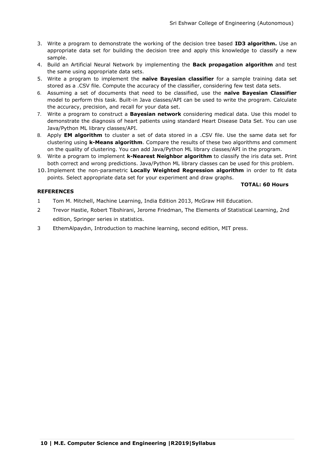**TOTAL: 60 Hours**

- 3. Write a program to demonstrate the working of the decision tree based **ID3 algorithm.** Use an appropriate data set for building the decision tree and apply this knowledge to classify a new sample.
- 4. Build an Artificial Neural Network by implementing the **Back propagation algorithm** and test the same using appropriate data sets.
- 5. Write a program to implement the **naïve Bayesian classifier** for a sample training data set stored as a .CSV file. Compute the accuracy of the classifier, considering few test data sets.
- 6. Assuming a set of documents that need to be classified, use the **naïve Bayesian Classifier**  model to perform this task. Built-in Java classes/API can be used to write the program. Calculate the accuracy, precision, and recall for your data set.
- 7. Write a program to construct a **Bayesian network** considering medical data. Use this model to demonstrate the diagnosis of heart patients using standard Heart Disease Data Set. You can use Java/Python ML library classes/API.
- 8. Apply **EM algorithm** to cluster a set of data stored in a .CSV file. Use the same data set for clustering using **k-Means algorithm**. Compare the results of these two algorithms and comment on the quality of clustering. You can add Java/Python ML library classes/API in the program.
- 9. Write a program to implement **k-Nearest Neighbor algorithm** to classify the iris data set. Print both correct and wrong predictions. Java/Python ML library classes can be used for this problem.
- 10. Implement the non-parametric **Locally Weighted Regression algorithm** in order to fit data points. Select appropriate data set for your experiment and draw graphs.

#### **REFERENCES**

# 1 Tom M. Mitchell, Machine Learning, India Edition 2013, McGraw Hill Education.

- 2 Trevor Hastie, Robert Tibshirani, Jerome Friedman, The Elements of Statistical Learning, 2nd edition, Springer series in statistics.
- 3 EthemAlpaydın, Introduction to machine learning, second edition, MIT press.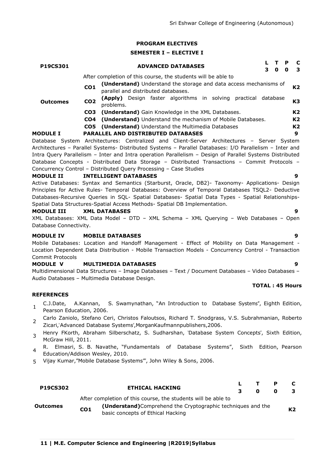#### **PROGRAM ELECTIVES**

#### **SEMESTER I – ELECTIVE I**

| <b>P19CS301</b> |                 | <b>ADVANCED DATABASES</b>                                                                                | T.<br>O | P<br>O | $\mathbf{C}$<br>3 |
|-----------------|-----------------|----------------------------------------------------------------------------------------------------------|---------|--------|-------------------|
|                 |                 | After completion of this course, the students will be able to                                            |         |        |                   |
| <b>Outcomes</b> | CO <sub>1</sub> | (Understand) Understand the storage and data access mechanisms of<br>parallel and distributed databases. |         |        | K2                |
|                 | CO <sub>2</sub> | Design faster algorithms in solving practical database<br>(Apply)<br>problems.                           |         |        | K3                |
|                 | CO <sub>3</sub> | (Understand) Gain Knowledge in the XML Databases.                                                        |         |        | K <sub>2</sub>    |
|                 | CO4             | (Understand) Understand the mechanism of Mobile Databases.                                               |         |        | K <sub>2</sub>    |
|                 |                 | <b>CO5</b> (Understand) Understand the Multimedia Databases                                              |         |        | K <sub>2</sub>    |
| <b>MODULE I</b> |                 | <b>PARALLEL AND DISTRIBUTED DATABASES</b>                                                                |         |        | 9                 |
|                 |                 | Database System Architectures: Centralized and Client-Server Architectures – Server System               |         |        |                   |
|                 |                 | Architectures - Parallel Systems- Distributed Systems - Parallel Databases: I/O Parallelism - Inter and  |         |        |                   |
|                 |                 |                                                                                                          |         |        |                   |

Intra Query Parallelism – Inter and Intra operation Parallelism – Design of Parallel Systems Distributed Database Concepts - Distributed Data Storage – Distributed Transactions – Commit Protocols – Concurrency Control – Distributed Query Processing – Case Studies

#### **MODULE II INTELLIGENT DATABASES 9**

Active Databases: Syntax and Semantics (Starburst, Oracle, DB2)- Taxonomy- Applications- Design Principles for Active Rules- Temporal Databases: Overview of Temporal Databases TSQL2- Deductive Databases-Recursive Queries in SQL- Spatial Databases- Spatial Data Types - Spatial Relationships-Spatial Data Structures-Spatial Access Methods- Spatial DB Implementation.

#### **MODULE III XML DATABASES 9**

XML Databases: XML Data Model – DTD – XML Schema – XML Querying – Web Databases – Open Database Connectivity.

#### **MODULE IV MOBILE DATABASES 9**

Mobile Databases: Location and Handoff Management - Effect of Mobility on Data Management - Location Dependent Data Distribution - Mobile Transaction Models - Concurrency Control - Transaction Commit Protocols

#### **MODULE V MULTIMEDIA DATABASES 9**

Multidimensional Data Structures – Image Databases – Text / Document Databases – Video Databases – Audio Databases – Multimedia Database Design.

#### **REFERENCES**

- 1 C.J.Date, A.Kannan, S. Swamynathan, "An Introduction to Database Systems", Eighth Edition, Pearson Education, 2006.
- 2 Carlo Zaniolo, Stefano Ceri, Christos Faloutsos, Richard T. Snodgrass, V.S. Subrahmanian, Roberto Zicari,'Advanced Database Systems',MorganKaufmannpublishers,2006.
- 3 Henry FKorth, Abraham Silberschatz, S. Sudharshan, 'Database System Concepts', Sixth Edition, McGraw Hill, 2011.
- 4 R. Elmasri, S. B. Navathe, "Fundamentals of Database Systems", Sixth Edition, Pearson Education/Addison Wesley, 2010.
- 5 Vijay Kumar, "Mobile Database Systems"", John Wiley & Sons, 2006.

| <b>P19CS302</b> |                                   | <b>ETHICAL HACKING</b>                                        |   | $\mathbf{T}$ | P |                |  |
|-----------------|-----------------------------------|---------------------------------------------------------------|---|--------------|---|----------------|--|
|                 |                                   |                                                               | 3 | 0            |   |                |  |
|                 |                                   | After completion of this course, the students will be able to |   |              |   |                |  |
| Outcomes        | CO <sub>1</sub>                   | (Understand) Comprehend the Cryptographic techniques and the  |   |              |   |                |  |
|                 | basic concepts of Ethical Hacking |                                                               |   |              |   | K <sub>2</sub> |  |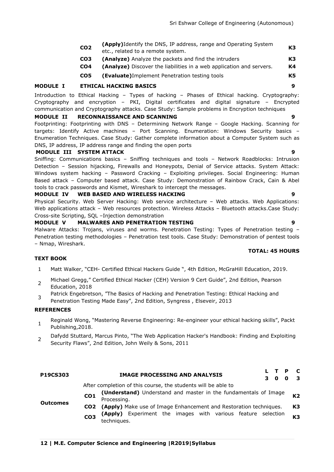| CO <sub>2</sub> | <b>(Apply)</b> Identify the DNS, IP address, range and Operating System<br>etc., related to a remote system. | K <sub>3</sub> |
|-----------------|--------------------------------------------------------------------------------------------------------------|----------------|
| CO3             | <b>(Analyze)</b> Analyze the packets and find the intruders                                                  | К3             |

- **CO4 (Analyze)** Discover the liabilities in a web application and servers. **K4**
- **CO5 (Evaluate)**Implement Penetration testing tools **K5**

#### **MODULE I ETHICAL HACKING BASICS 9**

Introduction to Ethical Hacking – Types of hacking – Phases of Ethical hacking. Cryptography: Cryptography and encryption – PKI, Digital certificates and digital signature – Encrypted communication and Cryptography attacks. Case Study: Sample problems in Encryption techniques

#### **MODULE II RECONNAISSANCE AND SCANNING 9**

Footprinting: Footprinting with DNS – Determining Network Range – Google Hacking. Scanning for targets: Identify Active machines – Port Scanning. Enumeration: Windows Security basics – Enumeration Techniques. Case Study: Gather complete information about a Computer System such as DNS, IP address, IP address range and finding the open ports

#### **MODULE III SYSTEM ATTACK 9**

Sniffing: Communications basics – Sniffing techniques and tools – Network Roadblocks: Intrusion Detection - Session hijacking, Firewalls and Honeypots, Denial of Service attacks. System Attack: Windows system hacking – Password Cracking – Exploiting privileges. Social Engineering: Human Based attack – Computer based attack. Case Study: Demonstration of Rainbow Crack, Cain & Abel tools to crack passwords and Kismet, Wireshark to intercept the messages.

#### **MODULE IV WEB BASED AND WIRELESS HACKING 9**

Physical Security. Web Server Hacking: Web service architecture – Web attacks. Web Applications: Web applications attack – Web resources protection. Wireless Attacks – Bluetooth attacks.Case Study: Cross-site Scripting, SQL –Injection demonstration

#### **MODULE V MALWARES AND PENETRATION TESTING 9**

Malware Attacks: Trojans, viruses and worms. Penetration Testing: Types of Penetration testing -Penetration testing methodologies – Penetration test tools. Case Study: Demonstration of pentest tools – Nmap, Wireshark.

#### **TOTAL: 45 HOURS**

### **TEXT BOOK**

- 1 Matt Walker, "CEH- Certified Ethical Hackers Guide ", 4th Edition, McGraHill Education, 2019.
- 2 Michael Gregg," Certified Ethical Hacker (CEH) Version 9 Cert Guide", 2nd Edition, Pearson Education, 2018
- 3 Patrick Engebretson, "The Basics of Hacking and Penetration Testing: Ethical Hacking and Penetration Testing Made Easy", 2nd Edition, Syngress, Elseveir, 2013

#### **REFERENCES**

**Outcomes**

- 1 Reginald Wong, "Mastering Reverse Engineering: Re-engineer your ethical hacking skills", Packt Publishing,2018.
- $\mathcal{L}$ Dafydd Stuttard, Marcus Pinto, "The Web Application Hacker's Handbook: Finding and Exploiting Security Flaws", 2nd Edition, John Weily & Sons, 2011

# **P19CS303 IMAGE PROCESSING AND ANALYSIS <sup>L</sup> <sup>T</sup> <sup>P</sup> <sup>C</sup> 3 0 0 3**

After completion of this course, the students will be able to

- **CO1 (Understand)** Understand and master in the fundamentals of Image Processing. **K2**
- **CO2 (Apply)** Make use of Image Enhancement and Restoration techniques. **K3**
	- **CO3 (Apply)** Experiment the images with various feature selection techniques. **K3**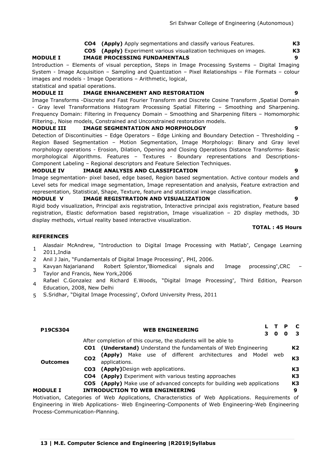**CO4 (Apply)** Apply segmentations and classify various Features. **K3**

**CO5 (Apply)** Experiment various visualization techniques on images. **K3**

### **MODULE I IMAGE PROCESSING FUNDAMENTALS 9**

Introduction – Elements of visual perception, Steps in Image Processing Systems – Digital Imaging System - Image Acquisition – Sampling and Quantization – Pixel Relationships – File Formats – colour images and models - Image Operations – Arithmetic, logical,

statistical and spatial operations.

# **MODULE II IMAGE ENHANCEMENT AND RESTORATION 9**

Image Transforms -Discrete and Fast Fourier Transform and Discrete Cosine Transform ,Spatial Domain - Gray level Transformations Histogram Processing Spatial Filtering – Smoothing and Sharpening. Frequency Domain: Filtering in Frequency Domain – Smoothing and Sharpening filters – Homomorphic Filtering., Noise models, Constrained and Unconstrained restoration models.

### **MODULE III IMAGE SEGMENTATION AND MORPHOLOGY 9**

Detection of Discontinuities – Edge Operators – Edge Linking and Boundary Detection – Thresholding – Region Based Segmentation – Motion Segmentation, Image Morphology: Binary and Gray level morphology operations - Erosion, Dilation, Opening and Closing Operations Distance Transforms- Basic morphological Algorithms. Features – Textures - Boundary representations and Descriptions-Component Labeling – Regional descriptors and Feature Selection Techniques.

#### **MODULE IV IMAGE ANALYSIS AND CLASSIFICATION 9**

Image segmentation- pixel based, edge based, Region based segmentation. Active contour models and Level sets for medical image segmentation, Image representation and analysis, Feature extraction and representation, Statistical, Shape, Texture, feature and statistical image classification.

#### **MODULE V IMAGE REGISTRATION AND VISUALIZATION 9**

Rigid body visualization, Principal axis registration, Interactive principal axis registration, Feature based registration, Elastic deformation based registration, Image visualization – 2D display methods, 3D display methods, virtual reality based interactive visualization.

#### **TOTAL : 45 Hours**

#### **REFERENCES**

- 1 Alasdair McAndrew, "Introduction to Digital Image Processing with Matlab", Cengage Learning 2011,India
- 2 Anil J Jain, "Fundamentals of Digital Image Processing", PHI, 2006.
- 3 Kavyan Najarianand Robert Splerstor,"Biomedical signals and Image processing",CRC – Taylor and Francis, New York,2006
- 4 Rafael C.Gonzalez and Richard E.Woods, "Digital Image Processing", Third Edition, Pearson Education, 2008, New Delhi
- 5 S.Sridhar, "Digital Image Processing", Oxford University Press, 2011

| <b>P19CS304</b> |                 | <b>WEB ENGINEERING</b>                                                                           |  | 0 | Đ<br>O | C<br>3         |
|-----------------|-----------------|--------------------------------------------------------------------------------------------------|--|---|--------|----------------|
|                 |                 | After completion of this course, the students will be able to                                    |  |   |        |                |
|                 | CO1             | (Understand) Understand the fundamentals of Web Engineering                                      |  |   |        | K <sub>2</sub> |
| <b>Outcomes</b> | CO <sub>2</sub> | Make use of different architectures and Model web<br>(Apply)<br>applications.                    |  |   |        | K3             |
|                 | CO <sub>3</sub> | <b>(Apply)</b> Design web applications.                                                          |  |   |        | K3             |
|                 |                 | <b>CO4</b> (Apply) Experiment with various testing approaches                                    |  |   |        | K3             |
|                 |                 | <b>CO5</b> (Apply) Make use of advanced concepts for building web applications                   |  |   |        | K3             |
| <b>MODULE I</b> |                 | <b>INTRODUCTION TO WEB ENGINEERING</b>                                                           |  |   |        | 9              |
|                 |                 | Motivation, Categories of Web Applications, Characteristics of Web Applications. Requirements of |  |   |        |                |

Engineering in Web Applications- Web Engineering-Components of Web Engineering-Web Engineering Process-Communication-Planning.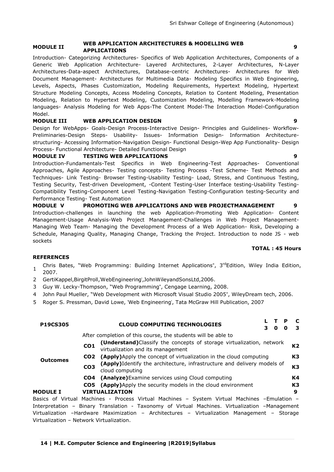#### **MODULE II WEB APPLICATION ARCHITECTURES & MODELLING WEB APPLICATION ARCHITECTORES & MODELLING WEB**<br>APPLICATIONS

Introduction- Categorizing Architectures- Specifics of Web Application Architectures, Components of a Generic Web Application Architecture- Layered Architectures, 2-Layer Architectures, N-Layer Architectures-Data-aspect Architectures, Database-centric Architectures- Architectures for Web Document Management- Architectures for Multimedia Data- Modeling Specifics in Web Engineering, Levels, Aspects, Phases Customization, Modeling Requirements, Hypertext Modeling, Hypertext Structure Modeling Concepts, Access Modeling Concepts, Relation to Content Modeling, Presentation Modeling, Relation to Hypertext Modeling, Customization Modeling, Modelling Framework-Modeling languages- Analysis Modeling for Web Apps-The Content Model-The Interaction Model-Configuration Model.

### **MODULE III WEB APPLICATION DESIGN 9**

Design for WebApps- Goals-Design Process-Interactive Design- Principles and Guidelines- Workflow-Preliminaries-Design Steps- Usability- Issues- Information Design- Information Architecturestructuring- Accessing Information-Navigation Design- Functional Design-Wep App Functionality- Design Process- Functional Architecture- Detailed Functional Design

#### **MODULE IV TESTING WEB APPLICATIONS 9**

Introduction-Fundamentals-Test Specifics in Web Engineering-Test Approaches- Conventional Approaches, Agile Approaches- Testing concepts- Testing Process -Test Scheme- Test Methods and Techniques- Link Testing- Browser Testing-Usability Testing- Load, Stress, and Continuous Testing, Testing Security, Test-driven Development, -Content Testing-User Interface testing-Usability Testing-Compatibility Testing-Component Level Testing-Navigation Testing-Configuration testing-Security and Performance Testing- Test Automation

**MODULE V PROMOTING WEB APPLICATIONS AND WEB PROJECTMANAGEMENT 9** Introduction-challenges in launching the web Application-Promoting Web Application- Content Management-Usage Analysis-Web Project Management-Challenges in Web Project Management-Managing Web Team- Managing the Development Process of a Web Application- Risk, Developing a Schedule, Managing Quality, Managing Change, Tracking the Project. Introduction to node JS - web sockets

#### **TOTAL : 45 Hours**

### **REFERENCES**

- 1 Chris Bates, "Web Programming: Building Internet Applications", 3<sup>rd</sup>Edition, Wiley India Edition, 2007.
- 2 GertiKappel, BirgitProll, 'WebEngineering', John Wileyand SonsLtd, 2006.
- 3 Guy W. Lecky-Thompson, "Web Programming", Cengage Learning, 2008.
- 4 John Paul Mueller, "Web Development with Microsoft Visual Studio 2005", WileyDream tech, 2006.
- 5 Roger S. Pressman, David Lowe, 'Web Engineering', Tata McGraw Hill Publication, 2007

| <b>P19CS305</b> |                 | <b>CLOUD COMPUTING TECHNOLOGIES</b>                                                                        | $\mathbf{0}$ | P<br>0 | <b>C</b><br>3 |
|-----------------|-----------------|------------------------------------------------------------------------------------------------------------|--------------|--------|---------------|
|                 |                 | After completion of this course, the students will be able to                                              |              |        |               |
|                 | CO <sub>1</sub> | (Understand) Classify the concepts of storage virtualization, network<br>virtualization and its management |              |        | K2            |
| <b>Outcomes</b> | CO <sub>2</sub> | <b>(Apply)</b> Apply the concept of virtualization in the cloud computing                                  |              |        | K3            |
|                 | CO <sub>3</sub> | (Apply)Identify the architecture, infrastructure and delivery models of<br>cloud computing                 |              |        | K3            |
|                 |                 | <b>CO4</b> (Analyze) Examine services using Cloud computing                                                |              |        | K4            |
|                 |                 | <b>CO5</b> (Apply) Apply the security models in the cloud environment                                      |              |        | K3            |
| <b>MODULE I</b> |                 | <b>VIRTUALIZATION</b>                                                                                      |              |        | 9             |
|                 |                 | Basics of Virtual Machines - Process Virtual Machines - System Virtual Machines -Emulation -               |              |        |               |
|                 |                 | Interpretation - Binary Translation - Taxonomy of Virtual Machines. Virtualization -Management             |              |        |               |
|                 |                 | Virtualization -Hardware Maximization - Architectures - Virtualization Management - Storage                |              |        |               |

Virtualization – Network Virtualization.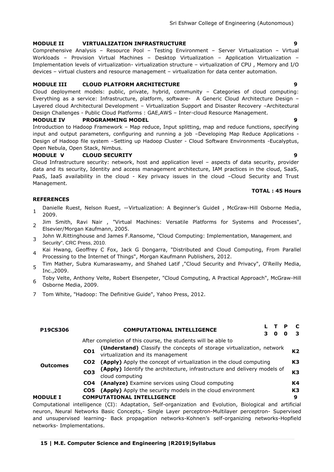#### **MODULE II VIRTUALIZATION INFRASTRUCTURE 9**

Comprehensive Analysis – Resource Pool – Testing Environment – Server Virtualization – Virtual Workloads – Provision Virtual Machines – Desktop Virtualization – Application Virtualization – Implementation levels of virtualization- virtualization structure – virtualization of CPU , Memory and I/O devices – virtual clusters and resource management – virtualization for data center automation.

#### **MODULE III CLOUD PLATFORM ARCHITECTURE 9**

Cloud deployment models: public, private, hybrid, community – Categories of cloud computing: Everything as a service: Infrastructure, platform, software- A Generic Cloud Architecture Design – Layered cloud Architectural Development – Virtualization Support and Disaster Recovery –Architectural Design Challenges - Public Cloud Platforms : GAE,AWS – Inter-cloud Resource Management.

#### **MODULE IV PROGRAMMING MODEL 9**

Introduction to Hadoop Framework – Map reduce, Input splitting, map and reduce functions, specifying input and output parameters, configuring and running a job –Developing Map Reduce Applications - Design of Hadoop file system –Setting up Hadoop Cluster - Cloud Software Environments -Eucalyptus, Open Nebula, Open Stack, Nimbus.

#### **MODULE V CLOUD SECURITY 9**

Cloud Infrastructure security: network, host and application level – aspects of data security, provider data and its security, Identity and access management architecture, IAM practices in the cloud, SaaS, PaaS, IaaS availability in the cloud - Key privacy issues in the cloud –Cloud Security and Trust Management.

#### **TOTAL : 45 Hours**

### **REFERENCES**

- 1 Danielle Ruest, Nelson Ruest, —Virtualization: A Beginner's Guidell, McGraw-Hill Osborne Media, 2009.
- 2 Jim Smith, Ravi Nair , "Virtual Machines: Versatile Platforms for Systems and Processes", Elsevier/Morgan Kaufmann, 2005.
- 3 John W.Rittinghouse and James F.Ransome, "Cloud Computing: Implementation, Management, and Security", CRC Press, 2010.
- 4 Kai Hwang, Geoffrey C Fox, Jack G Dongarra, "Distributed and Cloud Computing, From Parallel Processing to the Internet of Things", Morgan Kaufmann Publishers, 2012.
- 5 Tim Mather, Subra Kumaraswamy, and Shahed Latif ,"Cloud Security and Privacy", O'Reilly Media, Inc.,2009.
- 6 Toby Velte, Anthony Velte, Robert Elsenpeter, "Cloud Computing, A Practical Approach", McGraw-Hill Osborne Media, 2009.
- 7 Tom White, "Hadoop: The Definitive Guide", Yahoo Press, 2012.

| <b>P19CS306</b> |                 | <b>COMPUTATIONAL INTELLIGENCE</b>                                                                          |  |  | O |  |    |  |
|-----------------|-----------------|------------------------------------------------------------------------------------------------------------|--|--|---|--|----|--|
|                 |                 | After completion of this course, the students will be able to                                              |  |  |   |  |    |  |
|                 | CO <sub>1</sub> | (Understand) Classify the concepts of storage virtualization, network<br>virtualization and its management |  |  |   |  | K2 |  |
|                 | CO <sub>2</sub> | (Apply) Apply the concept of virtualization in the cloud computing                                         |  |  |   |  |    |  |
| <b>Outcomes</b> | CO <sub>3</sub> | (Apply) Identify the architecture, infrastructure and delivery models of<br>cloud computing                |  |  |   |  | KЗ |  |
|                 | CO4             | (Analyze) Examine services using Cloud computing                                                           |  |  |   |  | K4 |  |
|                 | CO5             | (Apply) Apply the security models in the cloud environment                                                 |  |  |   |  | K3 |  |
| <b>MODULE I</b> |                 | <b>COMPUTATIONAL INTELLIGENCE</b>                                                                          |  |  |   |  | 9  |  |
|                 |                 | Computational intelligence (CI): Adaptation, Self-organization and Evolution, Biological and artificial    |  |  |   |  |    |  |

neuron, Neural Networks Basic Concepts,- Single Layer perceptron-Multilayer perceptron- Supervised and unsupervised learning- Back propagation networks-Kohnen's self-organizing networks-Hopfield networks- Implementations.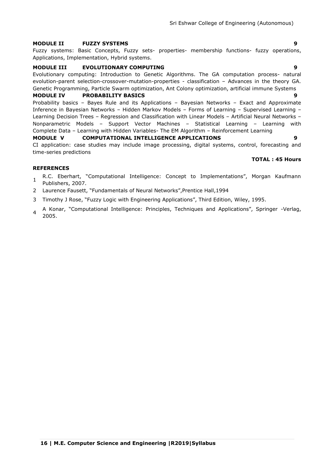# **MODULE II FUZZY SYSTEMS 9**

Fuzzy systems: Basic Concepts, Fuzzy sets- properties- membership functions- fuzzy operations, Applications, Implementation, Hybrid systems.

# **MODULE III EVOLUTIONARY COMPUTING 9**

Evolutionary computing: Introduction to Genetic Algorithms. The GA computation process- natural evolution-parent selection-crossover-mutation-properties - classification – Advances in the theory GA. Genetic Programming, Particle Swarm optimization, Ant Colony optimization, artificial immune Systems

# **MODULE IV PROBABILITY BASICS 9**

Probability basics – Bayes Rule and its Applications – Bayesian Networks – Exact and Approximate Inference in Bayesian Networks – Hidden Markov Models – Forms of Learning – Supervised Learning – Learning Decision Trees – Regression and Classification with Linear Models – Artificial Neural Networks – Nonparametric Models – Support Vector Machines – Statistical Learning – Learning with Complete Data – Learning with Hidden Variables- The EM Algorithm – Reinforcement Learning **MODULE V COMPUTATIONAL INTELLIGENCE APPLICATIONS 9**

CI application: case studies may include image processing, digital systems, control, forecasting and time-series predictions

#### **REFERENCES**

- 1 R.C. Eberhart, "Computational Intelligence: Concept to Implementations", Morgan Kaufmann Publishers, 2007.
- 2 Laurence Fausett, "Fundamentals of Neural Networks", Prentice Hall, 1994
- 3 Timothy J Rose, "Fuzzy Logic with Engineering Applications", Third Edition, Wiley, 1995.
- 4 A Konar, "Computational Intelligence: Principles, Techniques and Applications", Springer -Verlag, 2005.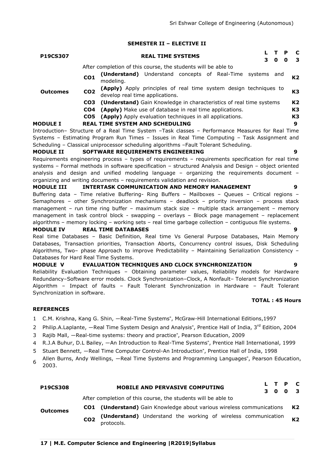#### **SEMESTER II – ELECTIVE II**

| <b>P19CS307</b> |                 | <b>REAL TIME SYSTEMS</b>                                                                             | $\mathbf{o}$ | P<br>0 | C<br>3         |
|-----------------|-----------------|------------------------------------------------------------------------------------------------------|--------------|--------|----------------|
|                 |                 | After completion of this course, the students will be able to                                        |              |        |                |
|                 | CO <sub>1</sub> | <b>(Understand)</b> Understand concepts of Real-Time systems<br>modeling.                            | and          |        | K <sub>2</sub> |
| <b>Outcomes</b> | CO <sub>2</sub> | (Apply) Apply principles of real time system design techniques to<br>develop real time applications. |              |        | K3             |
|                 | CO3             | <b>(Understand)</b> Gain Knowledge in characteristics of real time systems                           |              |        | K2             |
|                 | CO4             | (Apply) Make use of database in real time applications.                                              |              |        | K3             |
|                 |                 | CO5 (Apply) Apply evaluation techniques in all applications.                                         |              |        | K3             |
| <b>MODULE I</b> |                 | <b>REAL TIME SYSTEM AND SCHEDULING</b>                                                               |              |        | 9              |
|                 |                 | Introduction- Structure of a Real Time System -Task classes - Performance Measures for Real Time     |              |        |                |
|                 |                 | Systems – Estimating Program Run Times – Issues in Real Time Computing – Task Assignment and         |              |        |                |

Systems – Estimating Program Run Times – Issues in Real Time Computing – Task Assignment and Scheduling – Classical uniprocessor scheduling algorithms –Fault Tolerant Scheduling.

#### **MODULE II SOFTWARE REQUIREMENTS ENGINEERING 9**

Requirements engineering process – types of requirements – requirements specification for real time systems – Formal methods in software specification – structured Analysis and Design – object oriented analysis and design and unified modeling language – organizing the requirements document – organizing and writing documents – requirements validation and revision.

**MODULE III INTERTASK COMMUNICATION AND MEMORY MANAGEMENT 9** Buffering data – Time relative Buffering- Ring Buffers – Mailboxes – Queues – Critical regions – Semaphores – other Synchronization mechanisms – deadlock – priority inversion – process stack management – run time ring buffer – maximum stack size – multiple stack arrangement – memory management in task control block - swapping – overlays – Block page management – replacement algorithms – memory locking – working sets – real time garbage collection – contiguous file systems.

#### **MODULE IV REAL TIME DATABASES 9**

Real time Databases – Basic Definition, Real time Vs General Purpose Databases, Main Memory Databases, Transaction priorities, Transaction Aborts, Concurrency control issues, Disk Scheduling Algorithms, Two– phase Approach to improve Predictability – Maintaining Serialization Consistency – Databases for Hard Real Time Systems.

# **MODULE V EVALUATION TECHNIQUES AND CLOCK SYNCHRONIZATION 9**

Reliability Evaluation Techniques – Obtaining parameter values, Reliability models for Hardware Redundancy–Software error models. Clock Synchronization–Clock, A Nonfault– Tolerant Synchronization Algorithm – Impact of faults – Fault Tolerant Synchronization in Hardware – Fault Tolerant Synchronization in software.

#### **TOTAL : 45 Hours**

#### **REFERENCES**

- 1 C.M. Krishna, Kang G. Shin, ―Real-Time Systems", McGraw-Hill International Editions,1997
- 2 Philip.A.Laplante, —Real Time System Design and Analysis", Prentice Hall of India, 3rd Edition, 2004
- 3 Rajib Mall, ―Real-time systems: theory and practice", Pearson Education, 2009
- 4 R.J.A Buhur, D.L Bailey, ―An Introduction to Real-Time Systems", Prentice Hall International, 1999
- 5 Stuart Bennett, ―Real Time Computer Control-An Introduction", Prentice Hall of India, 1998
- 6 Allen Burns, Andy Wellings, ―Real Time Systems and Programming Languages", Pearson Education, 2003.

| <b>P19CS308</b> | L T P C<br><b>MOBILE AND PERVASIVE COMPUTING</b><br>3 0 0 3                  |  |  |  |  |  |  |
|-----------------|------------------------------------------------------------------------------|--|--|--|--|--|--|
|                 | After completion of this course, the students will be able to                |  |  |  |  |  |  |
| <b>Outcomes</b> | <b>CO1</b> (Understand) Gain Knowledge about various wireless communications |  |  |  |  |  |  |

**CO2 (Understand)** Understand the working of wireless communication protocols. **K2**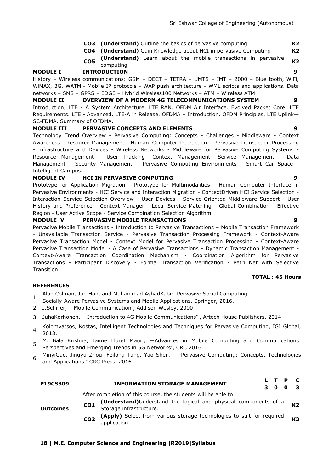- **CO3 (Understand)** Outline the basics of pervasive computing. **K2**
- **CO4 (Understand)** Gain Knowledge about HCI in pervasive Computing **K2**
- **CO5 (Understand)** Learn about the mobile transactions in pervasive computing **K2**

#### **MODULE I INTRODUCTION 9**

History – Wireless communications: GSM – DECT – TETRA – UMTS – IMT – 2000 – Blue tooth, WiFi, WiMAX, 3G, WATM.- Mobile IP protocols - WAP push architecture - WML scripts and applications. Data networks – SMS – GPRS – EDGE – Hybrid Wireless100 Networks – ATM – Wireless ATM.

### **MODULE II OVERVIEW OF A MODERN 4G TELECOMMUNICATIONS SYSTEM 9**

Introduction, LTE - A System Architecture. LTE RAN. OFDM Air Interface. Evolved Packet Core. LTE Requirements. LTE - Advanced. LTE-A in Release. OFDMA – Introduction. OFDM Principles. LTE Uplink— SC-FDMA. Summary of OFDMA.

#### **MODULE III PERVASIVE CONCEPTS AND ELEMENTS 9**

Technology Trend Overview - Pervasive Computing: Concepts - Challenges - Middleware - Context Awareness - Resource Management - Human–Computer Interaction – Pervasive Transaction Processing - Infrastructure and Devices - Wireless Networks - Middleware for Pervasive Computing Systems - Resource Management - User Tracking- Context Management -Service Management - Data Management - Security Management – Pervasive Computing Environments - Smart Car Space - Intelligent Campus.

#### **MODULE IV HCI IN PERVASIVE COMPUTING 9**

Prototype for Application Migration - Prototype for Multimodalities - Human–Computer Interface in Pervasive Environments - HCI Service and Interaction Migration - ContextDriven HCI Service Selection - Interaction Service Selection Overview - User Devices - Service-Oriented Middleware Support - User History and Preference - Context Manager - Local Service Matching - Global Combination - Effective Region - User Active Scope - Service Combination Selection Algorithm

#### **MODULE V PERVASIVE MOBILE TRANSACTIONS 9**

Pervasive Mobile Transactions - Introduction to Pervasive Transactions – Mobile Transaction Framework - Unavailable Transaction Service - Pervasive Transaction Processing Framework - Context-Aware Pervasive Transaction Model - Context Model for Pervasive Transaction Processing - Context-Aware Pervasive Transaction Model - A Case of Pervasive Transactions - Dynamic Transaction Management - Context-Aware Transaction Coordination Mechanism - Coordination Algorithm for Pervasive Transactions - Participant Discovery - Formal Transaction Verification - Petri Net with Selective Transition.

#### **TOTAL : 45 Hours**

### **REFERENCES**

- 1 Alan Colman, Jun Han, and Muhammad AshadKabir, Pervasive Social Computing
- Socially-Aware Pervasive Systems and Mobile Applications, Springer, 2016.
- 2 J.Schiller, ―Mobile Communication", Addison Wesley, 2000
- 3 JuhaKorhonen, ―Introduction to 4G Mobile Communications" , Artech House Publishers, 2014
- 4 Kolomvatsos, Kostas, Intelligent Technologies and Techniques for Pervasive Computing, IGI Global, 2013.
- 5 M. Bala Krishna, Jaime Lloret Mauri, ―Advances in Mobile Computing and Communications: Perspectives and Emerging Trends in 5G Networks", CRC 2016
- 6 MinyiGuo, Jingyu Zhou, Feilong Tang, Yao Shen, ― Pervasive Computing: Concepts, Technologies and Applications " CRC Press, 2016

|                 | <b>P19CS309</b> |                 | <b>INFORMATION STORAGE MANAGEMENT</b>                                                |  | L T P C<br>3 0 0 3 |                |
|-----------------|-----------------|-----------------|--------------------------------------------------------------------------------------|--|--------------------|----------------|
|                 |                 |                 | After completion of this course, the students will be able to                        |  |                    |                |
|                 |                 | CO <sub>1</sub> | (Understand)Understand the logical and physical components of a                      |  |                    | K <sub>2</sub> |
| <b>Outcomes</b> |                 |                 | Storage infrastructure.                                                              |  |                    |                |
|                 |                 |                 | (America), Calant, Connection and attributed the desired that are the continuational |  |                    |                |

**CO2 (Apply)** Select from various storage technologies to suit for required application **K3**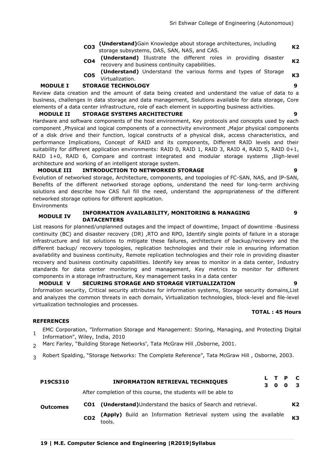- **CO3 (Understand)**Gain Knowledge about storage architectures, including storage subsystems, DAS, SAN, NAS, and CAS. **K2**
- **CO4 (Understand)** Illustrate the different roles in providing disaster recovery and business continuity capabilities. **K2**
- **CO5 (Understand)** Understand the various forms and types of Storage Virtualization.<br>Virtualization.

# **MODULE I STORAGE TECHNOLOGY 9**

Review data creation and the amount of data being created and understand the value of data to a business, challenges in data storage and data management, Solutions available for data storage, Core elements of a data center infrastructure, role of each element in supporting business activities.

#### **MODULE II STORAGE SYSTEMS ARCHITECTURE 9**

Hardware and software components of the host environment, Key protocols and concepts used by each component ,Physical and logical components of a connectivity environment ,Major physical components of a disk drive and their function, logical constructs of a physical disk, access characteristics, and performance Implications, Concept of RAID and its components, Different RAID levels and their suitability for different application environments: RAID 0, RAID 1, RAID 3, RAID 4, RAID 5, RAID 0+1, RAID 1+0, RAID 6, Compare and contrast integrated and modular storage systems ,Iligh-level architecture and working of an intelligent storage system.

#### **MODULE III INTRODUCTION TO NETWORKED STORAGE 9**

Evolution of networked storage, Architecture, components, and topologies of FC-SAN, NAS, and IP-SAN, Benefits of the different networked storage options, understand the need for long-term archiving solutions and describe how CAS full fill the need, understand the appropriateness of the different networked storage options for different application.

Environments

#### **MODULE IV INFORMATION AVAILABILITY, MONITORING & MANAGING DATACENTERS**

List reasons for planned/unplanned outages and the impact of downtime, Impact of downtime -Business continuity (BC) and disaster recovery (DR) ,RTO and RPO, Identify single points of failure in a storage infrastructure and list solutions to mitigate these failures, architecture of backup/recovery and the different backup/ recovery topologies, replication technologies and their role in ensuring information availability and business continuity, Remote replication technologies and their role in providing disaster recovery and business continuity capabilities. Identify key areas to monitor in a data center, Industry standards for data center monitoring and management, Key metrics to monitor for different components in a storage infrastructure, Key management tasks in a data center

# **MODULE V SECURING STORAGE AND STORAGE VIRTUALIZATION 9**

Information security, Critical security attributes for information systems, Storage security domains,List and analyzes the common threats in each domain, Virtualization technologies, block-level and file-level virtualization technologies and processes.

# **TOTAL : 45 Hours**

# **REFERENCES**

- 1 EMC Corporation, "Information Storage and Management: Storing, Managing, and Protecting Digital Information", Wiley, India, 2010
- 2 Marc Farley, "Building Storage Networks", Tata McGraw Hill , Osborne, 2001.
- 3 Robert Spalding, "Storage Networks: The Complete Reference", Tata McGraw Hill , Osborne, 2003.

| <b>P19CS310</b> | $\mathbf{C}$<br>L T P<br><b>INFORMATION RETRIEVAL TECHNIQUES</b><br>$\mathbf{3}$<br>0<br>$\mathbf{0}$       |  |
|-----------------|-------------------------------------------------------------------------------------------------------------|--|
| <b>Outcomes</b> | After completion of this course, the students will be able to                                               |  |
|                 | CO1 (Understand) Understand the basics of Search and retrieval.<br>K <sub>2</sub>                           |  |
|                 | (Apply) Build an Information Retrieval system using the available<br><b>K3</b><br>CO <sub>2</sub><br>tools. |  |

**9**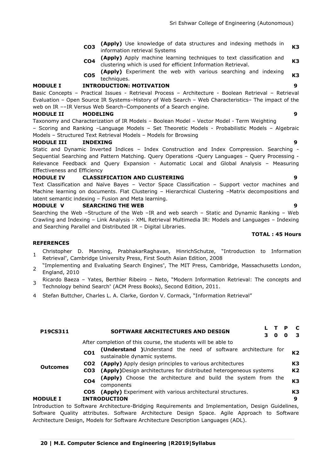- **CO3 (Apply)** Use knowledge of data structures and indexing methods in **EXECUTE:** Information retrieval Systems **K3** information retrieval Systems
- **CO4 (Apply)** Apply machine learning techniques to text classification and clustering which is used for efficient Information Retrieval. **K3**
- **CO5 (Apply)** Experiment the web with various searching and indexing techniques. **K3**

#### **MODULE I INTRODUCTION: MOTIVATION 9**

Basic Concepts – Practical Issues - Retrieval Process – Architecture - Boolean Retrieval – Retrieval Evaluation – Open Source IR Systems–History of Web Search – Web Characteristics– The impact of the web on IR ––IR Versus Web Search–Components of a Search engine.

#### **MODULE II MODELING 9**

Taxonomy and Characterization of IR Models – Boolean Model – Vector Model - Term Weighting – Scoring and Ranking –Language Models – Set Theoretic Models - Probabilistic Models – Algebraic Models – Structured Text Retrieval Models – Models for Browsing

#### **MODULE III INDEXING 9**

Static and Dynamic Inverted Indices – Index Construction and Index Compression. Searching - Sequential Searching and Pattern Matching. Query Operations -Query Languages – Query Processing - Relevance Feedback and Query Expansion - Automatic Local and Global Analysis – Measuring Effectiveness and Efficiency

#### **MODULE IV CLASSIFICATION AND CLUSTERING 9**

Text Classification and Naïve Bayes – Vector Space Classification – Support vector machines and Machine learning on documents. Flat Clustering - Hierarchical Clustering -Matrix decompositions and latent semantic indexing – Fusion and Meta learning.

#### **MODULE V SEARCHING THE WEB 9**

Searching the Web –Structure of the Web –IR and web search – Static and Dynamic Ranking – Web Crawling and Indexing – Link Analysis - XML Retrieval Multimedia IR: Models and Languages – Indexing and Searching Parallel and Distributed IR – Digital Libraries.

#### **REFERENCES**

- 1 Christopher D. Manning, PrabhakarRaghavan, HinrichSchutze, "Introduction to Information Retrieval", Cambridge University Press, First South Asian Edition, 2008
- $\mathcal{P}$ ―Implementing and Evaluating Search Engines", The MIT Press, Cambridge, Massachusetts London, England, 2010
- 3 Ricardo Baeza – Yates, Berthier Ribeiro – Neto, "Modern Information Retrieval: The concepts and Technology behind Search" (ACM Press Books), Second Edition, 2011.
- 4 Stefan Buttcher, Charles L. A. Clarke, Gordon V. Cormack, "Information Retrieval"

| P19CS311        | - C<br>SOFTWARE ARCHITECTURES AND DESIGN<br>- 3<br>3.<br>0                                                                         |
|-----------------|------------------------------------------------------------------------------------------------------------------------------------|
|                 | After completion of this course, the students will be able to                                                                      |
|                 | (Understand )Understand the need of software architecture for<br>K <sub>2</sub><br>CO <sub>1</sub><br>sustainable dynamic systems. |
|                 | K <sub>3</sub><br>CO2 (Apply) Apply design principles to various architectures                                                     |
| <b>Outcomes</b> | K <sub>2</sub><br>CO3 (Apply)Design architectures for distributed heterogeneous systems                                            |
|                 | (Apply) Choose the architecture and build the system from the<br>K <sub>3</sub><br>CO <sub>4</sub><br>components                   |
|                 | K3<br>(Apply) Experiment with various architectural structures.<br>CO5                                                             |

#### **MODULE I INTRODUCTION 9**

Introduction to Software Architecture-Bridging Requirements and Implementation, Design Guidelines, Software Quality attributes. Software Architecture Design Space. Agile Approach to Software Architecture Design, Models for Software Architecture Description Languages (ADL).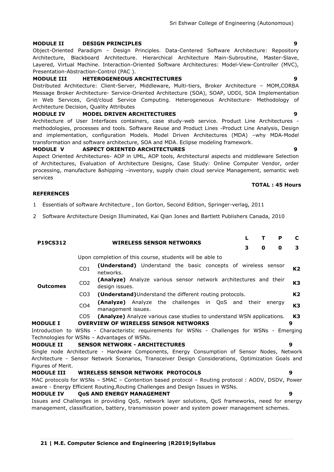#### **MODULE II DESIGN PRINCIPLES 9**

Object-Oriented Paradigm - Design Principles. Data-Centered Software Architecture: Repository Architecture, Blackboard Architecture. Hierarchical Architecture Main-Subroutine, Master-Slave, Layered, Virtual Machine. Interaction-Oriented Software Architectures: Model-View-Controller (MVC), Presentation-Abstraction-Control (PAC ).

#### **MODULE III HETEROGENEOUS ARCHITECTURES 9**

Distributed Architecture: Client-Server, Middleware, Multi-tiers, Broker Architecture – MOM,CORBA Message Broker Architecture- Service-Oriented Architecture (SOA), SOAP, UDDI, SOA Implementation in Web Services, Grid/cloud Service Computing. Heterogeneous Architecture- Methodology of Architecture Decision, Quality Attributes

#### **MODULE IV MODEL DRIVEN ARCHITECTURES 9**

Architecture of User Interfaces containers, case study-web service. Product Line Architectures methodologies, processes and tools. Software Reuse and Product Lines -Product Line Analysis, Design and implementation, configuration Models. Model Driven Architectures (MDA) –why MDA-Model transformation and software architecture, SOA and MDA. Eclipse modeling framework.

#### **MODULE V ASPECT ORIENTED ARCHITECTURES 9**

Aspect Oriented Architectures- AOP in UML, AOP tools, Architectural aspects and middleware Selection of Architectures, Evaluation of Architecture Designs, Case Study: Online Computer Vendor, order processing, manufacture &shipping –inventory, supply chain cloud service Management, semantic web services

#### **TOTAL : 45 Hours**

### **REFERENCES**

- 1 Essentials of software Architecture , Ion Gorton, Second Edition, Springer-verlag, 2011
- 2 Software Architecture Design Illuminated, Kai Qian Jones and Bartlett Publishers Canada, 2010

| <b>P19CS312</b>   | <b>WIRELESS SENSOR NETWORKS</b> |                                                                                                                                                                                                  |   | т | P | C              |
|-------------------|---------------------------------|--------------------------------------------------------------------------------------------------------------------------------------------------------------------------------------------------|---|---|---|----------------|
|                   |                                 | 3                                                                                                                                                                                                | 0 | 0 | 3 |                |
|                   |                                 | Upon completion of this course, students will be able to                                                                                                                                         |   |   |   |                |
|                   | CO <sub>1</sub>                 | <b>(Understand)</b> Understand the basic concepts of wireless sensor<br>networks.                                                                                                                |   |   |   | K <sub>2</sub> |
| <b>Outcomes</b>   | CO <sub>2</sub>                 | (Analyze) Analyze various sensor network architectures and their<br>design issues.                                                                                                               |   |   |   | K <sub>3</sub> |
|                   | CO <sub>3</sub>                 | (Understand) Understand the different routing protocols.                                                                                                                                         |   |   |   | K <sub>2</sub> |
|                   | CO <sub>4</sub>                 | (Analyze) Analyze the challenges in QoS and their energy<br>management issues.                                                                                                                   |   |   |   | K <sub>3</sub> |
|                   | CO <sub>5</sub>                 | (Analyze) Analyze various case studies to understand WSN applications.                                                                                                                           |   |   |   | K3             |
| <b>MODULE I</b>   |                                 | <b>OVERVIEW OF WIRELESS SENSOR NETWORKS</b>                                                                                                                                                      |   |   |   | 9              |
|                   |                                 | Introduction to WSNs - Characteristic requirements for WSNs - Challenges for WSNs - Emerging                                                                                                     |   |   |   |                |
|                   |                                 | Technologies for WSNs - Advantages of WSNs.                                                                                                                                                      |   |   |   |                |
| <b>MODULE II</b>  |                                 | <b>SENSOR NETWORK - ARCHITECTURES</b>                                                                                                                                                            |   |   |   | 9              |
|                   |                                 | Single node Architecture - Hardware Components, Energy Consumption of Sensor Nodes, Network                                                                                                      |   |   |   |                |
|                   |                                 | Architecture - Sensor Network Scenarios, Transceiver Design Considerations, Optimization Goals and                                                                                               |   |   |   |                |
| Figures of Merit. |                                 |                                                                                                                                                                                                  |   |   |   |                |
| <b>MODULE III</b> |                                 | <b>WIRELESS SENSOR NETWORK PROTOCOLS</b>                                                                                                                                                         |   |   |   | 9              |
|                   |                                 | MAC protocols for WSNs - SMAC - Contention based protocol - Routing protocol : AODV, DSDV, Power                                                                                                 |   |   |   |                |
|                   |                                 | aware - Energy Efficient Routing, Routing Challenges and Design Issues in WSNs.                                                                                                                  |   |   |   |                |
| <b>MODULE IV</b>  |                                 | <b>QOS AND ENERGY MANAGEMENT</b>                                                                                                                                                                 |   |   |   | ą              |
|                   |                                 | Issues and Challenges in providing QoS, network layer solutions, QoS frameworks, need for energy<br>management, classification, battery, transmission power and system power management schemes. |   |   |   |                |
|                   |                                 |                                                                                                                                                                                                  |   |   |   |                |
|                   |                                 |                                                                                                                                                                                                  |   |   |   |                |

Sri Eshwar College of Engineering (Autonomous)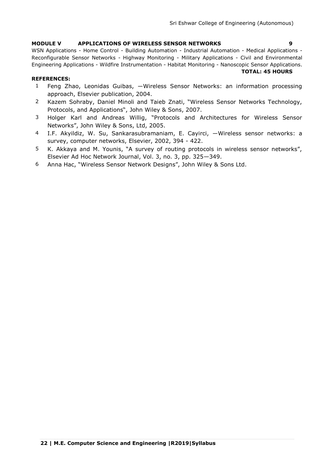### **MODULE V APPLICATIONS OF WIRELESS SENSOR NETWORKS 9**

WSN Applications - Home Control - Building Automation - Industrial Automation - Medical Applications - Reconfigurable Sensor Networks - Highway Monitoring - Military Applications - Civil and Environmental Engineering Applications - Wildfire Instrumentation - Habitat Monitoring - Nanoscopic Sensor Applications. **TOTAL: 45 HOURS**

- 1 Feng Zhao, Leonidas Guibas, ―Wireless Sensor Networks: an information processing approach, Elsevier publication, 2004.
- 2 Kazem Sohraby, Daniel Minoli and Taieb Znati, "Wireless Sensor Networks Technology, Protocols, and Applications", John Wiley & Sons, 2007.
- 3 Holger Karl and Andreas Willig, "Protocols and Architectures for Wireless Sensor Networks", John Wiley & Sons, Ltd, 2005.
- 4 I.F. Akyildiz, W. Su, Sankarasubramaniam, E. Cayirci, ―Wireless sensor networks: a survey, computer networks, Elsevier, 2002, 394 - 422.
- 5 K. Akkaya and M. Younis, "A survey of routing protocols in wireless sensor networks", Elsevier Ad Hoc Network Journal, Vol. 3, no. 3, pp. 325—349.
- 6 Anna Hac, "Wireless Sensor Network Designs", John Wiley & Sons Ltd.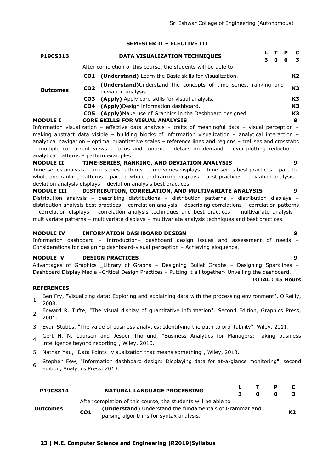#### **SEMESTER II – ELECTIVE III**

| P19CS313        |                 | DATA VISUALIZATION TECHNIQUES                                                          |                   | 0 | O | C<br>$\mathbf{3}$ |
|-----------------|-----------------|----------------------------------------------------------------------------------------|-------------------|---|---|-------------------|
|                 |                 | After completion of this course, the students will be able to                          |                   |   |   |                   |
|                 |                 | <b>CO1</b> (Understand) Learn the Basic skills for Visualization.                      |                   |   |   | K2                |
| <b>Outcomes</b> | CO <sub>2</sub> | (Understand)Understand the concepts of time series, ranking and<br>deviation analysis. |                   |   |   | K3                |
|                 |                 | <b>CO3</b> (Apply) Apply core skills for visual analysis.                              |                   |   |   | K3                |
|                 |                 | <b>CO4</b> (Apply)Design information dashboard.                                        |                   |   |   | K3                |
|                 |                 | <b>CO5</b> (Apply) Make use of Graphics in the Dashboard designed                      |                   |   |   | K3                |
| <b>MODULE I</b> |                 | <b>CORE SKILLS FOR VISUAL ANALYSIS</b>                                                 |                   |   |   | 9                 |
|                 |                 | Information viqualization - effective data analysis - traite of meaningful data        | vicual norcontion |   |   |                   |

Information visualization – effective data analysis – traits of meaningful data – visual perception – making abstract data visible – building blocks of information visualization – analytical interaction – analytical navigation – optimal quantitative scales – reference lines and regions – trellises and crosstabs – multiple concurrent views – focus and context – details on demand – over-plotting reduction – analytical patterns – pattern examples.

#### **MODULE II TIME-SERIES, RANKING, AND DEVIATION ANALYSIS 9**

Time-series analysis – time-series patterns – time-series displays – time-series best practices – part-towhole and ranking patterns - part-to-whole and ranking displays - best practices - deviation analysis deviation analysis displays – deviation analysis best practices

**MODULE III DISTRIBUTION, CORRELATION, AND MULTIVARIATE ANALYSIS 9** Distribution analysis – describing distributions – distribution patterns – distribution displays – distribution analysis best practices – correlation analysis – describing correlations – correlation patterns – correlation displays – correlation analysis techniques and best practices – multivariate analysis – multivariate patterns – multivariate displays – multivariate analysis techniques and best practices.

#### **MODULE IV INFORMATION DASHBOARD DESIGN 9**

Information dashboard – Introduction– dashboard design issues and assessment of needs – Considerations for designing dashboard-visual perception – Achieving eloquence.

#### **MODULE V DESIGN PRACTICES 9**

Advantages of Graphics \_Library of Graphs – Designing Bullet Graphs – Designing Sparklines – Dashboard Display Media –Critical Design Practices – Putting it all together- Unveiling the dashboard.

**TOTAL : 45 Hours**

- 1 Ben Fry, "Visualizing data: Exploring and explaining data with the processing environment", O'Reilly, 2008.
- 2 Edward R. Tufte, "The visual display of quantitative information", Second Edition, Graphics Press, 2001.
- 3 Evan Stubbs, "The value of business analytics: Identifying the path to profitability", Wiley, 2011.
- 4 Gert H. N. Laursen and Jesper Thorlund, "Business Analytics for Managers: Taking business intelligence beyond reporting", Wiley, 2010.
- 5 Nathan Yau, "Data Points: Visualization that means something", Wiley, 2013.
- 6 Stephen Few, "Information dashboard design: Displaying data for at-a-glance monitoring", second edition, Analytics Press, 2013.

| <b>P19CS314</b> |                 | <b>NATURAL LANGUAGE PROCESSING</b>                                                                                                                                  | З. | n | P<br>o |                |
|-----------------|-----------------|---------------------------------------------------------------------------------------------------------------------------------------------------------------------|----|---|--------|----------------|
| Outcomes        | CO <sub>1</sub> | After completion of this course, the students will be able to<br>(Understand) Understand the fundamentals of Grammar and<br>parsing algorithms for syntax analysis. |    |   |        | K <sub>2</sub> |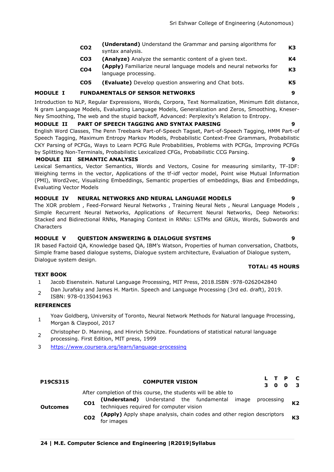| CO <sub>2</sub> | (Understand) Understand the Grammar and parsing algorithms for<br>syntax analysis.         | K <sub>3</sub> |
|-----------------|--------------------------------------------------------------------------------------------|----------------|
| CO3             | <b>(Analyze)</b> Analyze the semantic content of a given text.                             | К4             |
| CO <sub>4</sub> | (Apply) Familiarize neural language models and neural networks for<br>language processing. | K <sub>3</sub> |
| CO5             | (Evaluate) Develop question answering and Chat bots.                                       | K5             |
|                 | APHAAR HETHIARI/A                                                                          | $\sim$         |

### **MODULE I FUNDAMENTALS OF SENSOR NETWORKS 9**

Introduction to NLP, Regular Expressions, Words, Corpora, Text Normalization, Minimum Edit distance, N gram Language Models, Evaluating Language Models, Generalization and Zeros, Smoothing, Kneser-Ney Smoothing, The web and the stupid backoff, Advanced: Perplexity's Relation to Entropy.

#### **MODULE II PART OF SPEECH TAGGING AND SYNTAX PARSING 9**

English Word Classes, The Penn Treebank Part-of-Speech Tagset, Part-of-Speech Tagging, HMM Part-of Speech Tagging, Maximum Entropy Markov Models, Probabilistic Context-Free Grammars, Probabilistic CKY Parsing of PCFGs, Ways to Learn PCFG Rule Probabilities, Problems with PCFGs, Improving PCFGs by Splitting Non-Terminals, Probabilistic Lexicalized CFGs, Probabilistic CCG Parsing.

#### **MODULE III SEMANTIC ANALYSIS 9**

Lexical Semantics, Vector Semantics, Words and Vectors, Cosine for measuring similarity, TF-IDF: Weighing terms in the vector, Applications of the tf-idf vector model, Point wise Mutual Information (PMI), Word2vec, Visualizing Embeddings, Semantic properties of embeddings, Bias and Embeddings, Evaluating Vector Models

#### **MODULE IV NEURAL NETWORKS AND NEURAL LANGUAGE MODELS 9**

The XOR problem , Feed-Forward Neural Networks , Training Neural Nets , Neural Language Models , Simple Recurrent Neural Networks, Applications of Recurrent Neural Networks, Deep Networks: Stacked and Bidirectional RNNs, Managing Context in RNNs: LSTMs and GRUs, Words, Subwords and **Characters** 

### **MODULE V QUESTION ANSWERING & DIALOGUE SYSTEMS 9**

IR based Factoid QA, Knowledge based QA, IBM's Watson, Properties of human conversation, Chatbots, Simple frame based dialogue systems, Dialogue system architecture, Evaluation of Dialogue system, Dialogue system design.

#### **TEXT BOOK**

- 1 Jacob Eisenstein. Natural Language Processing, MIT Press, 2018.ISBN :978-0262042840
- $\overline{2}$ Dan Jurafsky and James H. Martin. Speech and Language Processing (3rd ed. draft), 2019. ISBN: 978-0135041963

#### **REFERENCES**

- 1 Yoav Goldberg, University of Toronto, Neural Network Methods for Natural language Processing, Morgan & Claypool, 2017
- 2 Christopher D. Manning, and Hinrich Schütze. Foundations of statistical natural language processing. First Edition, MIT press, 1999
- 3 <https://www.coursera.org/learn/language-processing>

| P19CS315        | L T P<br><b>COMPUTER VISION</b><br>$\mathbf{0}$<br>З.<br>0                                                                                                                                                                                                                                            | $\mathbf{r}$ |
|-----------------|-------------------------------------------------------------------------------------------------------------------------------------------------------------------------------------------------------------------------------------------------------------------------------------------------------|--------------|
| <b>Outcomes</b> | After completion of this course, the students will be able to<br>(Understand) Understand the fundamental image processing K2<br>techniques required for computer vision<br>CO <sub>1</sub><br>(Apply) Apply shape analysis, chain codes and other region descriptors<br>CO <sub>2</sub><br>for images | K3           |

### **TOTAL: 45 HOURS**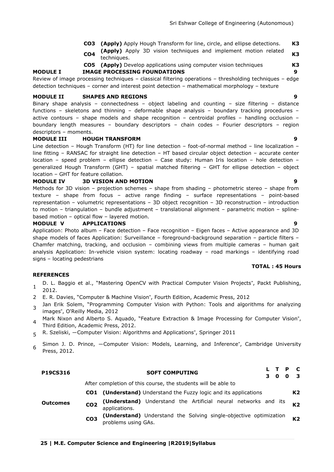- **CO3 (Apply)** Apply Hough Transform for line, circle, and ellipse detections. **K3**
- **CO4 (Apply)** Apply 3D vision techniques and implement motion related techniques. **K3**
- **CO5 (Apply)** Develop applications using computer vision techniques **K3**

**MODULE I IMAGE PROCESSING FOUNDATIONS 9**

Review of image processing techniques – classical filtering operations – thresholding techniques – edge detection techniques – corner and interest point detection – mathematical morphology – texture

#### **MODULE II SHAPES AND REGIONS 9**

Binary shape analysis – connectedness – object labeling and counting – size filtering – distance functions – skeletons and thinning – deformable shape analysis – boundary tracking procedures – active contours – shape models and shape recognition – centroidal profiles – handling occlusion – boundary length measures – boundary descriptors – chain codes – Fourier descriptors – region descriptors – moments.

#### **MODULE III HOUGH TRANSFORM 9**

Line detection – Hough Transform (HT) for line detection – foot-of-normal method – line localization – line fitting – RANSAC for straight line detection – HT based circular object detection – accurate center location – speed problem – ellipse detection – Case study: Human Iris location – hole detection – generalized Hough Transform (GHT) – spatial matched filtering – GHT for ellipse detection – object location – GHT for feature collation.

#### **MODULE IV 3D VISION AND MOTION 9**

Methods for 3D vision – projection schemes – shape from shading – photometric stereo – shape from texture – shape from focus – active range finding – surface representations – point-based representation – volumetric representations – 3D object recognition – 3D reconstruction – introduction to motion – triangulation – bundle adjustment – translational alignment – parametric motion – splinebased motion – optical flow – layered motion.

#### **MODULE V APPLICATIONS 9**

Application: Photo album – Face detection – Face recognition – Eigen faces – Active appearance and 3D shape models of faces Application: Surveillance – foreground-background separation – particle filters – Chamfer matching, tracking, and occlusion – combining views from multiple cameras – human gait analysis Application: In-vehicle vision system: locating roadway – road markings – identifying road signs – locating pedestrians

#### **TOTAL : 45 Hours**

- 1 D. L. Baggio et al., "Mastering OpenCV with Practical Computer Vision Projects", Packt Publishing, 2012.
- 2 E. R. Davies, "Computer & Machine Vision", Fourth Edition, Academic Press, 2012
- 3 Jan Erik Solem, "Programming Computer Vision with Python: Tools and algorithms for analyzing images", O'Reilly Media, 2012
- 4 Mark Nixon and Alberto S. Aquado, "Feature Extraction & Image Processing for Computer Vision", Third Edition, Academic Press, 2012.
- 5 R. Szeliski, ―Computer Vision: Algorithms and Applications", Springer 2011
- 6 Simon J. D. Prince, ―Computer Vision: Models, Learning, and Inference", Cambridge University Press, 2012.

| <b>P19CS316</b> |                 | L T P<br><b>SOFT COMPUTING</b><br>0<br>O                                                 | $\mathbf{c}$<br>-3 |
|-----------------|-----------------|------------------------------------------------------------------------------------------|--------------------|
|                 |                 | After completion of this course, the students will be able to                            |                    |
|                 |                 | <b>CO1</b> (Understand) Understand the Fuzzy logic and its applications                  | K2                 |
| <b>Outcomes</b> | CO <sub>2</sub> | (Understand) Understand the Artificial neural networks and its<br>applications.          | K2                 |
|                 | CO <sub>3</sub> | (Understand) Understand the Solving single-objective optimization<br>problems using GAs. | K <sub>2</sub>     |

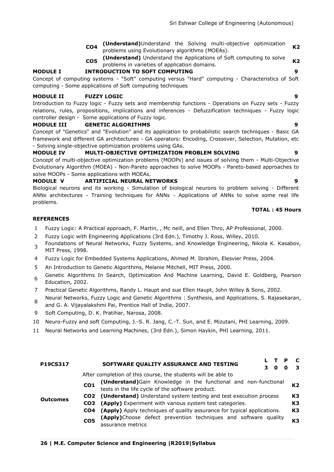- **CO4 (Understand)**Understand the Solving multi-objective optimization problems using Evolutionary algorithms (MOEAs). **K2**
- **CO5 (Understand)** Understand the Applications of Soft computing to solve **problems in varieties of application domains. K2** problems in varieties of application domains.

# **MODULE I INTRODUCTION TO SOFT COMPUTING 9**

Concept of computing systems - "Soft" computing versus "Hard" computing - Characteristics of Soft computing - Some applications of Soft computing techniques

### **MODULE II FUZZY LOGIC 9**

Introduction to Fuzzy logic - Fuzzy sets and membership functions - Operations on Fuzzy sets - Fuzzy relations, rules, propositions, implications and inferences - Defuzzification techniques - Fuzzy logic controller design - Some applications of Fuzzy logic.

# **MODULE III GENETIC ALGORITHMS 9**

Concept of "Genetics" and "Evolution" and its application to probabilistic search techniques - Basic GA framework and different GA architectures - GA operators: Encoding, Crossover, Selection, Mutation, etc - Solving single-objective optimization problems using GAs.

# **MODULE IV MULTI-OBJECTIVE OPTIMIZATION PROBLEM SOLVING 9**

Concept of multi-objective optimization problems (MOOPs) and issues of solving them - Multi-Objective Evolutionary Algorithm (MOEA) - Non-Pareto approaches to solve MOOPs - Pareto-based approaches to solve MOOPs - Some applications with MOEAs.

# **MODULE V ARTIFICIAL NEURAL NETWORKS 9**

Biological neurons and its working - Simulation of biological neurons to problem solving - Different ANNs architectures - Training techniques for ANNs - Applications of ANNs to solve some real life problems.

#### **TOTAL : 45 Hours**

**3 0 0 3**

### **REFERENCES**

- 1 Fuzzy Logic: A Practical approach, F. Martin, , Mc neill, and Ellen Thro, AP Professional, 2000.
- 2 Fuzzy Logic with Engineering Applications (3rd Edn.), Timothy J. Ross, Willey, 2010.
- 3 Foundations of Neural Networks, Fuzzy Systems, and Knowledge Engineering, Nikola K. Kasabov, MIT Press, 1998.
- 4 Fuzzy Logic for Embedded Systems Applications, Ahmed M. Ibrahim, Elesvier Press, 2004.
- 5 An Introduction to Genetic Algorithms, Melanie Mitchell, MIT Press, 2000.
- 6 Genetic Algorithms In Search, Optimization And Machine Learning, David E. Goldberg, Pearson Education, 2002.
- 7 Practical Genetic Algorithms, Randy L. Haupt and sue Ellen Haupt, John Willey & Sons, 2002.
- 8 Neural Networks, Fuzzy Logic and Genetic Algorithms : Synthesis, and Applications, S. Rajasekaran, and G. A. Vijayalakshmi Pai, Prentice Hall of India, 2007.
- 9 Soft Computing, D. K. Pratihar, Narosa, 2008.
- 10 Neuro-Fuzzy and soft Computing, J.-S. R. Jang, C.-T. Sun, and E. Mizutani, PHI Learning, 2009.
- 11 Neural Networks and Learning Machines, (3rd Edn.), Simon Haykin, PHI Learning, 2011.

#### **Outcomes** After completion of this course, the students will be able to **CO1 (Understand)**Gain Knowledge in the functional and non-functional **tests in the life cycle of the software product. All and the software product. K2 CO2 (Understand)** Understand system testing and test execution process **K3 CO3 (Apply)** Experiment with various system test categories. **K3**

**P19CS317 SOFTWARE QUALITY ASSURANCE AND TESTING <sup>L</sup> <sup>T</sup> <sup>P</sup> <sup>C</sup>**

- 
- **CO4 (Apply)** Apply techniques of quality assurance for typical applications. **K3 CO5 (Apply)**Choose defect prevention techniques and software quality assurance metrics **K3**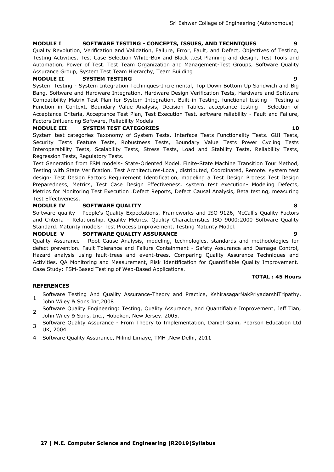#### **MODULE I SOFTWARE TESTING - CONCEPTS, ISSUES, AND TECHNIQUES 9**

Quality Revolution, Verification and Validation, Failure, Error, Fault, and Defect, Objectives of Testing, Testing Activities, Test Case Selection White-Box and Black ,test Planning and design, Test Tools and Automation, Power of Test. Test Team Organization and Management-Test Groups, Software Quality Assurance Group, System Test Team Hierarchy, Team Building

#### **MODULE II SYSTEM TESTING 9**

System Testing - System Integration Techniques-Incremental, Top Down Bottom Up Sandwich and Big Bang, Software and Hardware Integration, Hardware Design Verification Tests, Hardware and Software Compatibility Matrix Test Plan for System Integration. Built-in Testing. functional testing - Testing a Function in Context. Boundary Value Analysis, Decision Tables. acceptance testing - Selection of Acceptance Criteria, Acceptance Test Plan, Test Execution Test. software reliability - Fault and Failure, Factors Influencing Software, Reliability Models

#### **MODULE III SYSTEM TEST CATEGORIES 10**

System test categories Taxonomy of System Tests, Interface Tests Functionality Tests. GUI Tests, Security Tests Feature Tests, Robustness Tests, Boundary Value Tests Power Cycling Tests Interoperability Tests, Scalability Tests, Stress Tests, Load and Stability Tests, Reliability Tests, Regression Tests, Regulatory Tests.

Test Generation from FSM models- State-Oriented Model. Finite-State Machine Transition Tour Method, Testing with State Verification. Test Architectures-Local, distributed, Coordinated, Remote. system test design- Test Design Factors Requirement Identification, modeling a Test Design Process Test Design Preparedness, Metrics, Test Case Design Effectiveness. system test execution- Modeling Defects, Metrics for Monitoring Test Execution .Defect Reports, Defect Causal Analysis, Beta testing, measuring Test Effectiveness.

#### **MODULE IV SOFTWARE QUALITY 8**

Software quality - People's Quality Expectations, Frameworks and ISO-9126, McCall's Quality Factors and Criteria – Relationship. Quality Metrics. Quality Characteristics ISO 9000:2000 Software Quality Standard. Maturity models- Test Process Improvement, Testing Maturity Model.

#### **MODULE V SOFTWARE QUALITY ASSURANCE 9**

Quality Assurance - Root Cause Analysis, modeling, technologies, standards and methodologies for defect prevention. Fault Tolerance and Failure Containment - Safety Assurance and Damage Control, Hazard analysis using fault-trees and event-trees. Comparing Quality Assurance Techniques and Activities. QA Monitoring and Measurement, Risk Identification for Quantifiable Quality Improvement. Case Study: FSM-Based Testing of Web-Based Applications.

#### **TOTAL : 45 Hours**

- 1 Software Testing And Quality Assurance-Theory and Practice, KshirasagarNakPriyadarshiTripathy, John Wiley & Sons Inc,2008
- 2 Software Quality Engineering: Testing, Quality Assurance, and Quantifiable Improvement, Jeff Tian, John Wiley & Sons, Inc., Hoboken, New Jersey. 2005.
- 3 Software Quality Assurance - From Theory to Implementation, Daniel Galin, Pearson Education Ltd UK, 2004
- 4 Software Quality Assurance, Milind Limaye, TMH ,New Delhi, 2011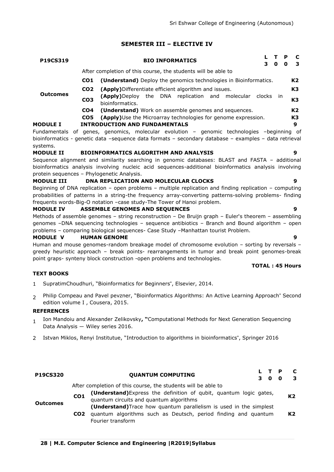### **SEMESTER III – ELECTIVE IV**

| P19CS319            |                 | Р<br><b>BIO INFORMATICS</b><br>3<br>0<br>O                                      | -C<br>3        |
|---------------------|-----------------|---------------------------------------------------------------------------------|----------------|
|                     |                 | After completion of this course, the students will be able to                   |                |
|                     | CO <sub>1</sub> | (Understand) Deploy the genomics technologies in Bioinformatics.                | К2             |
|                     | CO <sub>2</sub> | (Apply)Differentiate efficient algorithm and issues.                            | K <sub>3</sub> |
| <b>Outcomes</b>     | CO <sub>3</sub> | (Apply)Deploy the DNA replication and molecular<br>clocks in<br>bioinformatics. | K <sub>3</sub> |
|                     | CO <sub>4</sub> | (Understand) Work on assemble genomes and sequences.                            | K <sub>2</sub> |
|                     | CO5             | (Apply) Use the Microarray technologies for genome expression.                  | K <sub>3</sub> |
| <b>MODULE I</b>     |                 | <b>INTRODUCTION AND FUNDAMENTALS</b>                                            | 9              |
| <b>Fundamentals</b> |                 | of genes genomics molecular evolution – genomic technologies – heginning c      |                |

Fundamentals of genes, genomics, molecular evolution – genomic technologies –beginning of bioinformatics - genetic data –sequence data formats – secondary database – examples – data retrieval systems.

#### **MODULE II BIOINFORMATICS ALGORITHM AND ANALYSIS 9**

Sequence alignment and similarity searching in genomic databases: BLAST and FASTA – additional bioinformatics analysis involving nucleic acid sequences-additional bioinformatics analysis involving protein sequences – Phylogenetic Analysis.

#### **MODULE III DNA REPLICATION AND MOLECULAR CLOCKS 9**

Beginning of DNA replication – open problems – multiple replication and finding replication – computing probabilities of patterns in a string-the frequency array-converting patterns-solving problems- finding frequents words-Big-O notation –case study-The Tower of Hanoi problem.

#### **MODULE IV ASSEMBLE GENOMES AND SEQUENCES 9**

Methods of assemble genomes – string reconstruction – De Bruijn graph – Euler's theorem – assembling genomes –DNA sequencing technologies – sequence antibiotics – Branch and Bound algorithm – open problems – comparing biological sequences- Case Study –Manhattan tourist Problem.

#### **MODULE V HUMAN GENOME 9**

Human and mouse genomes-random breakage model of chromosome evolution – sorting by reversals – greedy heuristic approach – break points- rearrangements in tumor and break point genomes-break point graps- synteny block construction -open problems and technologies.

### **TEXT BOOKS**

- 1 SupratimChoudhuri, "Bioinformatics for Beginners", Elsevier, 2014.
- $\mathcal{L}$ Philip Compeau and Pavel pevzner, "Bioinformatics Algorithms: An Active Learning Approach" Second edition volume I , Cousera, 2015.

#### **REFERENCES**

- 1 Ion Mandoiu and Alexander Zelikovsky**, "**Computational Methods for Next Generation Sequencing Data Analysis ― Wiley series 2016.
- 2 Istvan Miklos, Renyi Institutue, "Introduction to algorithms in bioinformatics", Springer 2016

| <b>P19CS320</b> |                 | <b>QUANTUM COMPUTING</b><br>3 O                                           | L T P | 0 | C<br>з         |
|-----------------|-----------------|---------------------------------------------------------------------------|-------|---|----------------|
|                 |                 | After completion of this course, the students will be able to             |       |   |                |
| <b>Outcomes</b> | CO <sub>1</sub> | (Understand) Express the definition of qubit, quantum logic gates,        |       |   | K2             |
|                 |                 | quantum circuits and quantum algorithms                                   |       |   |                |
|                 |                 | (Understand) Trace how quantum parallelism is used in the simplest        |       |   |                |
|                 |                 | <b>CO2</b> quantum algorithms such as Deutsch, period finding and quantum |       |   | K <sub>2</sub> |
|                 |                 | Fourier transform                                                         |       |   |                |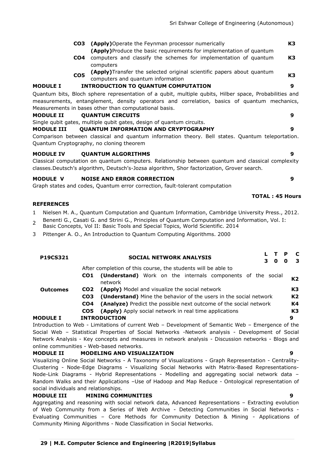| <b>CO3</b> (Apply) Operate the Feynman processor numerically                | К3           |
|-----------------------------------------------------------------------------|--------------|
| <b>(Apply)</b> Produce the basic requirements for implementation of quantum |              |
| CO4 acquisition and electric the selectron for boulenceathing of production | $\mathbf{z}$ |

- **CO4** computers and classify the schemes for implementation of quantum computers **K3**
- **CO5 (Apply)**Transfer the selected original scientific papers about quantum computers and quantum information

# **MODULE I INTRODUCTION TO QUANTUM COMPUTATION 9**

Quantum bits, Bloch sphere representation of a qubit, multiple qubits, Hilber space, Probabilities and measurements, entanglement, density operators and correlation, basics of quantum mechanics, Measurements in bases other than computational basis.

#### **MODULE II QUANTUM CIRCUITS 9**

Single qubit gates, multiple qubit gates, design of quantum circuits.

#### **MODULE III QUANTUM INFORMATION AND CRYPTOGRAPHY 9**

Comparison between classical and quantum information theory. Bell states. Quantum teleportation. Quantum Cryptography, no cloning theorem

#### **MODULE IV QUANTUM ALGORITHMS 9**

Classical computation on quantum computers. Relationship between quantum and classical complexity classes.Deutsch's algorithm, Deutsch's-Jozsa algorithm, Shor factorization, Grover search.

#### **MODULE V NOISE AND ERROR CORRECTION 9**

Graph states and codes, Quantum error correction, fault-tolerant computation

#### **REFERENCES**

- 1 Nielsen M. A., Quantum Computation and Quantum Information, Cambridge University Press., 2012.
- 2 Benenti G., Casati G. and Strini G., Principles of Quantum Computation and Information, Vol. I:
- Basic Concepts, Vol II: Basic Tools and Special Topics, World Scientific. 2014
- 3 Pittenger A. O., An Introduction to Quantum Computing Algorithms. 2000

| P19CS321        |                 | <b>SOCIAL NETWORK ANALYSIS</b><br>$\mathbf 0$                                                      | P<br>O | - C<br>-3 |
|-----------------|-----------------|----------------------------------------------------------------------------------------------------|--------|-----------|
|                 |                 | After completion of this course, the students will be able to                                      |        |           |
|                 | CO1             | <b>(Understand)</b> Work on the internals components of the social<br>network                      |        | K2        |
| <b>Outcomes</b> | CO <sub>2</sub> | <b>(Apply)</b> Model and visualize the social network                                              |        | K3        |
|                 | CO <sub>3</sub> | (Understand) Mine the behavior of the users in the social network                                  |        | K2        |
|                 | CO <sub>4</sub> | (Analyze) Predict the possible next outcome of the social network                                  |        | K4        |
|                 | CO5             | <b>(Apply)</b> Apply social network in real time applications                                      |        | K3        |
| <b>MODULE I</b> |                 | <b>INTRODUCTION</b>                                                                                | 9      |           |
|                 |                 | Introduction to Web - Limitations of current Web - Development of Semantic Web - Emergence of the  |        |           |
|                 |                 | Social Web – Statistical Properties of Social Networks -Network analysis - Development of Social   |        |           |
|                 |                 | Network Analysis - Key concepts and measures in network analysis - Discussion networks - Blogs and |        |           |

# online communities - Web-based networks.

# **MODULE II MODELING AND VISUALIZATION 9**

Visualizing Online Social Networks - A Taxonomy of Visualizations - Graph Representation - Centrality-Clustering - Node-Edge Diagrams - Visualizing Social Networks with Matrix-Based Representations-Node-Link Diagrams - Hybrid Representations - Modelling and aggregating social network data – Random Walks and their Applications –Use of Hadoop and Map Reduce - Ontological representation of social individuals and relationships.

### **MODULE III MINING COMMUNITIES 9**

Aggregating and reasoning with social network data, Advanced Representations – Extracting evolution of Web Community from a Series of Web Archive - Detecting Communities in Social Networks - Evaluating Communities – Core Methods for Community Detection & Mining - Applications of Community Mining Algorithms - Node Classification in Social Networks.

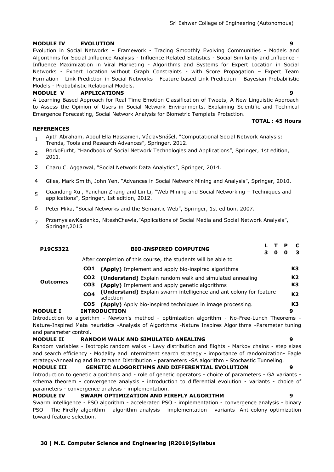#### **MODULE IV EVOLUTION 9**

Evolution in Social Networks – Framework - Tracing Smoothly Evolving Communities - Models and Algorithms for Social Influence Analysis - Influence Related Statistics - Social Similarity and Influence - Influence Maximization in Viral Marketing - Algorithms and Systems for Expert Location in Social Networks - Expert Location without Graph Constraints - with Score Propagation – Expert Team Formation - Link Prediction in Social Networks - Feature based Link Prediction – Bayesian Probabilistic Models - Probabilistic Relational Models.

#### **MODULE V APPLICATIONS 9**

A Learning Based Approach for Real Time Emotion Classification of Tweets, A New Linguistic Approach to Assess the Opinion of Users in Social Network Environments, Explaining Scientific and Technical Emergence Forecasting, Social Network Analysis for Biometric Template Protection.

**TOTAL : 45 Hours**

#### **REFERENCES**

and parameter control.

- 1 Ajith Abraham, Aboul Ella Hassanien, VáclavSnášel, "Computational Social Network Analysis: Trends, Tools and Research Advances", Springer, 2012.
- 2 BorkoFurht, "Handbook of Social Network Technologies and Applications", Springer, 1st edition, 2011.
- 3 Charu C. Aggarwal, "Social Network Data Analytics", Springer, 2014.
- 4 Giles, Mark Smith, John Yen, "Advances in Social Network Mining and Analysis", Springer, 2010.
- 5 Guandong Xu, Yanchun Zhang and Lin Li, "Web Mining and Social Networking - Techniques and applications", Springer, 1st edition, 2012.
- 6 Peter Mika, "Social Networks and the Semantic Web", Springer, 1st edition, 2007.
- 7 PrzemyslawKazienko, NiteshChawla, "Applications of Social Media and Social Network Analysis", Springer,2015

| <b>P19CS322</b> |                 | <b>BIO-INSPIRED COMPUTING</b>                                                                         | з | O | Р<br>o | з              |
|-----------------|-----------------|-------------------------------------------------------------------------------------------------------|---|---|--------|----------------|
|                 |                 | After completion of this course, the students will be able to                                         |   |   |        |                |
|                 | CO1             | (Apply) Implement and apply bio-inspired algorithms                                                   |   |   |        | K3             |
| <b>Outcomes</b> | CO <sub>2</sub> | (Understand) Explain random walk and simulated annealing                                              |   |   |        | K <sub>2</sub> |
|                 | CO <sub>3</sub> | (Apply) Implement and apply genetic algorithms                                                        |   |   |        | K <sub>3</sub> |
|                 | CO <sub>4</sub> | (Understand) Explain swarm intelligence and ant colony for feature<br>selection                       |   |   |        | K <sub>2</sub> |
|                 | CO5             | (Apply) Apply bio-inspired techniques in image processing.                                            |   |   |        | K <sub>3</sub> |
| <b>MODULE I</b> |                 | <b>INTRODUCTION</b>                                                                                   |   |   |        | 9              |
|                 |                 | Introduction to algorithm - Newton's method - optimization algorithm - No-Free-Lunch Theorems -       |   |   |        |                |
|                 |                 | Nature-Inspired Mata heuristics -Analysis of Algorithms -Nature Inspires Algorithms -Parameter tuning |   |   |        |                |

#### **MODULE II RANDOM WALK AND SIMULATED ANEALING 9**

Random variables - Isotropic random walks - Levy distribution and flights - Markov chains - step sizes and search efficiency - Modality and intermittent search strategy - importance of randomization- Eagle strategy-Annealing and Boltzmann Distribution - parameters -SA algorithm - Stochastic Tunneling.

**MODULE III GENETIC ALOGORITHMS AND DIFFERENTIAL EVOLUTION 9** Introduction to genetic algorithms and - role of genetic operators - choice of parameters - GA variants schema theorem - convergence analysis - introduction to differential evolution - variants - choice of parameters - convergence analysis - implementation.

#### **MODULE IV SWARM OPTIMIZATION AND FIREFLY ALGORITHM 9**

Swarm intelligence - PSO algorithm - accelerated PSO - implementation - convergence analysis - binary PSO - The Firefly algorithm - algorithm analysis - implementation - variants- Ant colony optimization toward feature selection.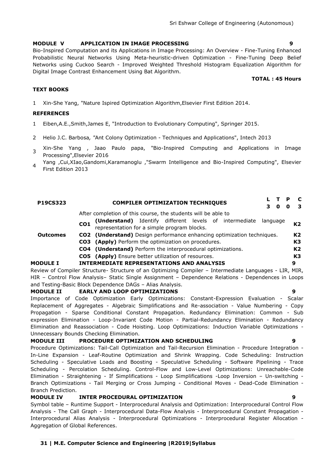#### **MODULE V APPLICATION IN IMAGE PROCESSING 9**

Bio-Inspired Computation and its Applications in Image Processing: An Overview - Fine-Tuning Enhanced Probabilistic Neural Networks Using Meta-heuristic-driven Optimization - Fine-Tuning Deep Belief Networks using Cuckoo Search - Improved Weighted Threshold Histogram Equalization Algorithm for Digital Image Contrast Enhancement Using Bat Algorithm.

#### **TEXT BOOKS**

1 Xin-She Yang, "Nature Ispired Optimization Algorithm,Elsevier First Edition 2014.

#### **REFERENCES**

- 1 Eiben,A.E.,Smith,James E, "Introduction to Evolutionary Computing", Springer 2015.
- 2 Helio J.C. Barbosa*, "*Ant Colony Optimization Techniques and Applications", Intech 2013
- 3 Xin-She Yang , Jaao Paulo papa, "Bio-Inspired Computing and Applications in Image Processing",Elsevier 2016
- 4 Yang ,Cui,XIao,Gandomi,Karamanoglu ,"Swarm Intelligence and Bio-Inspired Computing", Elsevier First Edition 2013

| <b>P19CS323</b> | <b>COMPILER OPTIMIZATION TECHNIQUES</b>                                               | C<br>- 3       |
|-----------------|---------------------------------------------------------------------------------------|----------------|
|                 | After completion of this course, the students will be able to                         |                |
|                 | (Understand) Identify different levels of intermediate<br>language<br>CO <sub>1</sub> | K2             |
|                 | representation for a simple program blocks.                                           |                |
| <b>Outcomes</b> | CO2 (Understand) Design performance enhancing optimization techniques.                | K <sub>2</sub> |
|                 | <b>CO3</b> (Apply) Perform the optimization on procedures.                            | K3             |
|                 | <b>CO4</b> (Understand) Perform the interprocedural optimizations.                    | K <sub>2</sub> |
|                 | CO5 (Apply) Ensure better utilization of resources.                                   | K <sub>3</sub> |
| <b>MODULE I</b> | <b>INTERMEDIATE REPRESENTATIONS AND ANALYSIS</b>                                      | 9              |
|                 |                                                                                       |                |

Review of Compiler Structure- Structure of an Optimizing Compiler – Intermediate Languages - LIR, MIR, HIR – Control Flow Analysis– Static Single Assignment – Dependence Relations - Dependences in Loops and Testing-Basic Block Dependence DAGs – Alias Analysis.

#### **MODULE II EARLY AND LOOP OPTIMIZATIONS 9**

Importance of Code Optimization Early Optimizations: Constant-Expression Evaluation - Scalar Replacement of Aggregates - Algebraic Simplifications and Re-association - Value Numbering - Copy Propagation - Sparse Conditional Constant Propagation. Redundancy Elimination: Common - Sub expression Elimination - Loop-Invariant Code Motion - Partial-Redundancy Elimination - Redundancy Elimination and Reassociation - Code Hoisting. Loop Optimizations: Induction Variable Optimizations - Unnecessary Bounds Checking Elimination.

#### **MODULE III PROCEDURE OPTIMIZATION AND SCHEDULING 9**

Procedure Optimizations: Tail-Call Optimization and Tail-Recursion Elimination - Procedure Integration - In-Line Expansion - Leaf-Routine Optimization and Shrink Wrapping. Code Scheduling: Instruction Scheduling - Speculative Loads and Boosting - Speculative Scheduling - Software Pipelining - Trace Scheduling - Percolation Scheduling. Control-Flow and Low-Level Optimizations: Unreachable-Code Elimination - Straightening - If Simplifications - Loop Simplifications -Loop Inversion – Un-switching - Branch Optimizations - Tail Merging or Cross Jumping - Conditional Moves - Dead-Code Elimination - Branch Prediction.

#### **MODULE IV INTER PROCEDURAL OPTIMIZATION 9**

Symbol table – Runtime Support - Interprocedural Analysis and Optimization: Interprocedural Control Flow Analysis - The Call Graph - Interprocedural Data-Flow Analysis - Interprocedural Constant Propagation - Interprocedural Alias Analysis - Interprocedural Optimizations - Interprocedural Register Allocation - Aggregation of Global References.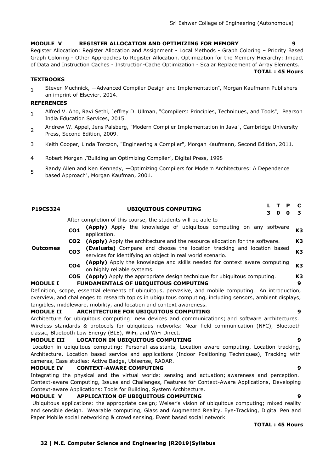#### **MODULE V REGISTER ALLOCATION AND OPTIMIZING FOR MEMORY 9**

Register Allocation: Register Allocation and Assignment - Local Methods - Graph Coloring – Priority Based Graph Coloring - Other Approaches to Register Allocation. Optimization for the Memory Hierarchy: Impact of Data and Instruction Caches - Instruction-Cache Optimization - Scalar Replacement of Array Elements.

**TOTAL : 45 Hours**

### **TEXTBOOKS**

1 Steven Muchnick, ―Advanced Compiler Design and Implementation", Morgan Kaufmann Publishers an imprint of Elsevier, 2014.

#### **REFERENCES**

- 1 Alfred V. Aho, Ravi Sethi, Jeffrey D. Ullman, "Compilers: Principles, Techniques, and Tools", Pearson India Education Services, 2015.
- $\overline{\phantom{0}}$ Andrew W. Appel, Jens Palsberg, "Modern Compiler Implementation in Java", Cambridge University Press, Second Edition, 2009.
- 3 Keith Cooper, Linda Torczon, "Engineering a Compiler", Morgan Kaufmann, Second Edition, 2011.
- 4 Robert Morgan ,"Building an Optimizing Compiler", Digital Press, 1998
- 5 Randy Allen and Ken Kennedy, ―Optimizing Compilers for Modern Architectures: A Dependence based Approach", Morgan Kaufman, 2001.

| P19CS324          |                 | <b>UBIQUITOUS COMPUTING</b>                                                                               | L | т | P | C              |
|-------------------|-----------------|-----------------------------------------------------------------------------------------------------------|---|---|---|----------------|
|                   |                 |                                                                                                           | 3 | 0 | 0 | 3              |
|                   |                 | After completion of this course, the students will be able to                                             |   |   |   |                |
|                   | CO <sub>1</sub> | (Apply) Apply the knowledge of ubiquitous computing on any software<br>application.                       |   |   |   | K <sub>3</sub> |
|                   | CO <sub>2</sub> | (Apply) Apply the architecture and the resource allocation for the software.                              |   |   |   | K <sub>3</sub> |
| <b>Outcomes</b>   | CO <sub>3</sub> | (Evaluate) Compare and choose the location tracking and location based                                    |   |   |   | K <sub>3</sub> |
|                   |                 | services for identifying an object in real world scenario.                                                |   |   |   |                |
|                   | CO <sub>4</sub> | (Apply) Apply the knowledge and skills needed for context aware computing                                 |   |   |   | K <sub>3</sub> |
|                   |                 | on highly reliable systems.                                                                               |   |   |   |                |
|                   | CO5             | (Apply) Apply the appropriate design technique for ubiquitous computing.                                  |   |   |   | K <sub>3</sub> |
| <b>MODULE I</b>   |                 | <b>FUNDAMENTALS OF UBIQUITOUS COMPUTING</b>                                                               |   |   |   | 9              |
|                   |                 | Definition, scope, essential elements of ubiquitous, pervasive, and mobile computing. An introduction,    |   |   |   |                |
|                   |                 | overview, and challenges to research topics in ubiquitous computing, including sensors, ambient displays, |   |   |   |                |
|                   |                 | tangibles, middleware, mobility, and location and context awareness.                                      |   |   |   |                |
| <b>MODULE II</b>  |                 | ARCHITECTURE FOR UBIQUITOUS COMPUTING                                                                     |   |   |   | 9              |
|                   |                 | Architecture for ubiquitous computing: new devices and communications; and software architectures.        |   |   |   |                |
|                   |                 | Wireless standards & protocols for ubiquitous networks: Near field communication (NFC), Bluetooth         |   |   |   |                |
|                   |                 | classic, Bluetooth Low Energy (BLE), WiFi, and WiFi Direct.                                               |   |   |   |                |
| <b>MODULE III</b> |                 | <b>LOCATION IN UBIQUITOUS COMPUTING</b>                                                                   |   |   |   | 9              |
|                   |                 | Location in ubiquitous computing: Personal assistants, Location aware computing, Location tracking,       |   |   |   |                |
|                   |                 | Architecture, Location based service and applications (Indoor Positioning Techniques), Tracking with      |   |   |   |                |
|                   |                 | cameras, Case studies: Active Badge, Ubisense, RADAR.                                                     |   |   |   |                |
| <b>MODULE IV</b>  |                 | <b>CONTEXT-AWARE COMPUTING</b>                                                                            |   |   |   | 9              |
|                   |                 | Integrating the physical and the virtual worlds: sensing and actuation; awareness and perception.         |   |   |   |                |

Context-aware Computing, Issues and Challenges, Features for Context-Aware Applications, Developing Context-aware Applications: Tools for Building, System Architecture.

### **MODULE V APPLICATION OF UBIQUITOUS COMPUTING 9**

Ubiquitous applications: the appropriate design; Weiser's vision of ubiquitous computing; mixed reality and sensible design. Wearable computing, Glass and Augmented Reality, Eye-Tracking, Digital Pen and Paper Mobile social networking & crowd sensing, Event based social network.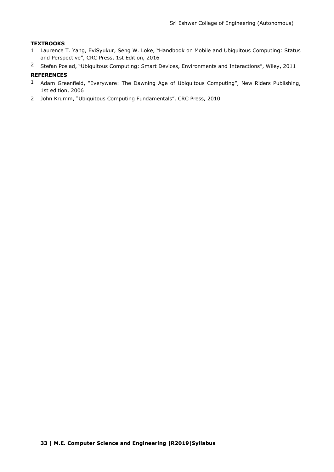### **TEXTBOOKS**

- 1 Laurence T. Yang, EviSyukur, Seng W. Loke, "Handbook on Mobile and Ubiquitous Computing: Status and Perspective", CRC Press, 1st Edition, 2016
- <sup>2</sup> Stefan Poslad, "Ubiquitous Computing: Smart Devices, Environments and Interactions", Wiley, 2011

- 1 Adam Greenfield, "Everyware: The Dawning Age of Ubiquitous Computing", New Riders Publishing, 1st edition, 2006
- 2 John Krumm, "Ubiquitous Computing Fundamentals", CRC Press, 2010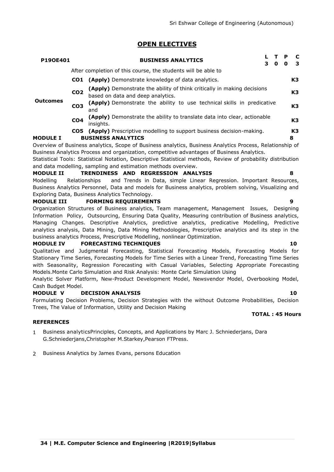# **OPEN ELECTIVES**

| P190E401        |                 | <b>BUSINESS ANALYTICS</b><br>3<br>O                                                                          | Р<br>O | -C<br>- 3      |
|-----------------|-----------------|--------------------------------------------------------------------------------------------------------------|--------|----------------|
|                 |                 | After completion of this course, the students will be able to                                                |        |                |
|                 |                 | <b>CO1</b> (Apply) Demonstrate knowledge of data analytics.                                                  |        | K <sub>3</sub> |
|                 | CO <sub>2</sub> | (Apply) Demonstrate the ability of think critically in making decisions<br>based on data and deep analytics. |        | K <sub>3</sub> |
| <b>Outcomes</b> | CO <sub>3</sub> | (Apply) Demonstrate the ability to use technical skills in predicative<br>and                                |        | K <sub>3</sub> |
|                 | CO <sub>4</sub> | (Apply) Demonstrate the ability to translate data into clear, actionable<br>insiahts.                        |        | K <sub>3</sub> |
|                 |                 | <b>CO5</b> (Apply) Prescriptive modelling to support business decision-making.                               |        | K <sub>3</sub> |
| <b>MODULE I</b> |                 | <b>BUSINESS ANALYTICS</b>                                                                                    |        | 8              |
|                 |                 | Overview of Business analytics, Scope of Business analytics, Business Analytics Process, Relationship of     |        |                |

Overview of Business analytics, Scope of Business analytics, Business Analytics Process, Relationship of Business Analytics Process and organization, competitive advantages of Business Analytics.

Statistical Tools: Statistical Notation, Descriptive Statistical methods, Review of probability distribution and data modelling, sampling and estimation methods overview.

#### **MODULE II TRENDINESS AND REGRESSION ANALYSIS 8**

Modelling Relationships and Trends in Data, simple Linear Regression. Important Resources, Business Analytics Personnel, Data and models for Business analytics, problem solving, Visualizing and Exploring Data, Business Analytics Technology.

#### **MODULE III FORMING REQUIREMENTS 9**

Organization Structures of Business analytics, Team management, Management Issues, Designing Information Policy, Outsourcing, Ensuring Data Quality, Measuring contribution of Business analytics, Managing Changes. Descriptive Analytics, predictive analytics, predicative Modelling, Predictive analytics analysis, Data Mining, Data Mining Methodologies, Prescriptive analytics and its step in the business analytics Process, Prescriptive Modelling, nonlinear Optimization.

#### **MODULE IV FORECASTING TECHNIQUES 10**

Qualitative and Judgmental Forecasting, Statistical Forecasting Models, Forecasting Models for Stationary Time Series, Forecasting Models for Time Series with a Linear Trend, Forecasting Time Series with Seasonality, Regression Forecasting with Casual Variables, Selecting Appropriate Forecasting Models.Monte Carlo Simulation and Risk Analysis: Monte Carle Simulation Using

Analytic Solver Platform, New-Product Development Model, Newsvendor Model, Overbooking Model, Cash Budget Model.

#### **MODULE V DECISION ANALYSIS 10**

Formulating Decision Problems, Decision Strategies with the without Outcome Probabilities, Decision Trees, The Value of Information, Utility and Decision Making

#### **REFERENCES**

- 1 Business analyticsPrinciples, Concepts, and Applications by Marc J. Schniederjans, Dara G.Schniederjans,Christopher M.Starkey,Pearson FTPress.
- 2 Business Analytics by James Evans, persons Education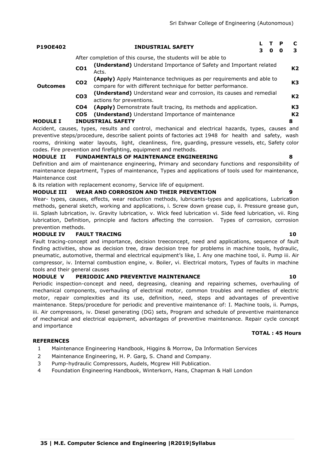| P190E402        |                 | <b>INDUSTRIAL SAFETY</b>                                                                                                             |  | т.<br>0 | P<br>o | C<br>3         |  |  |  |
|-----------------|-----------------|--------------------------------------------------------------------------------------------------------------------------------------|--|---------|--------|----------------|--|--|--|
|                 |                 | After completion of this course, the students will be able to                                                                        |  |         |        |                |  |  |  |
|                 | CO <sub>1</sub> | <b>(Understand)</b> Understand Importance of Safety and Important related<br>Acts.                                                   |  |         |        |                |  |  |  |
| <b>Outcomes</b> | CO <sub>2</sub> | (Apply) Apply Maintenance techniques as per requirements and able to<br>compare for with different technique for better performance. |  |         |        |                |  |  |  |
|                 | CO <sub>3</sub> | (Understand) Understand wear and corrosion, its causes and remedial<br>actions for preventions.                                      |  |         |        | K <sub>2</sub> |  |  |  |
|                 | CO4             | <b>(Apply)</b> Demonstrate fault tracing, its methods and application.                                                               |  |         |        | K <sub>3</sub> |  |  |  |
|                 | CO5             | (Understand) Understand Importance of maintenance                                                                                    |  |         |        | K2             |  |  |  |
| <b>MODULE I</b> |                 | <b>INDUSTRIAL SAFETY</b>                                                                                                             |  |         |        | 8              |  |  |  |

Accident, causes, types, results and control, mechanical and electrical hazards, types, causes and preventive steps/procedure, describe salient points of factories act 1948 for health and safety, wash rooms, drinking water layouts, light, cleanliness, fire, guarding, pressure vessels, etc, Safety color codes. Fire prevention and firefighting, equipment and methods.

# **MODULE II FUNDAMENTALS OF MAINTENANCE ENGINEERING 8**

Definition and aim of maintenance engineering, Primary and secondary functions and responsibility of maintenance department, Types of maintenance, Types and applications of tools used for maintenance, Maintenance cost

& its relation with replacement economy, Service life of equipment.

# **MODULE III WEAR AND CORROSION AND THEIR PREVENTION 9**

Wear- types, causes, effects, wear reduction methods, lubricants-types and applications, Lubrication methods, general sketch, working and applications, i. Screw down grease cup, ii. Pressure grease gun, iii. Splash lubrication, iv. Gravity lubrication, v. Wick feed lubrication vi. Side feed lubrication, vii. Ring lubrication, Definition, principle and factors affecting the corrosion. Types of corrosion, corrosion prevention methods.

#### **MODULE IV FAULT TRACING 10**

Fault tracing-concept and importance, decision treeconcept, need and applications, sequence of fault finding activities, show as decision tree, draw decision tree for problems in machine tools, hydraulic, pneumatic, automotive, thermal and electrical equipment's like, I. Any one machine tool, ii. Pump iii. Air compressor, iv. Internal combustion engine, v. Boiler, vi. Electrical motors, Types of faults in machine tools and their general causes

### **MODULE V PERIODIC AND PREVENTIVE MAINTENANCE 10**

Periodic inspection-concept and need, degreasing, cleaning and repairing schemes, overhauling of mechanical components, overhauling of electrical motor, common troubles and remedies of electric motor, repair complexities and its use, definition, need, steps and advantages of preventive maintenance. Steps/procedure for periodic and preventive maintenance of: I. Machine tools, ii. Pumps, iii. Air compressors, iv. Diesel generating (DG) sets, Program and schedule of preventive maintenance of mechanical and electrical equipment, advantages of preventive maintenance. Repair cycle concept and importance

### **REFERENCES**

- 1 Maintenance Engineering Handbook, Higgins & Morrow, Da Information Services
- 2 Maintenance Engineering, H. P. Garg, S. Chand and Company.
- 3 Pump-hydraulic Compressors, Audels, Mcgrew Hill Publication.
- 4 Foundation Engineering Handbook, Winterkorn, Hans, Chapman & Hall London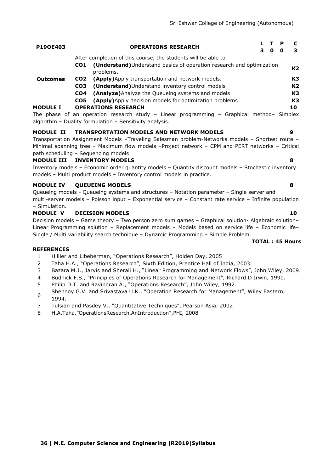| P190E403        | <b>OPERATIONS RESEARCH</b>                                                                | o | P |                |
|-----------------|-------------------------------------------------------------------------------------------|---|---|----------------|
|                 | After completion of this course, the students will be able to                             |   |   |                |
|                 | (Understand) Understand basics of operation research and optimization<br>CO1<br>problems. |   |   | K <sub>2</sub> |
| <b>Outcomes</b> | (Apply) Apply transportation and network models.<br>CO <sub>2</sub>                       |   |   | K3             |
|                 | (Understand) Understand inventory control models<br>CO <sub>3</sub>                       |   |   | K2             |
|                 | (Analyze) Analyze the Queueing systems and models<br>CO4                                  |   |   | K3             |
|                 | (Apply) Apply decision models for optimization problems<br>CO5                            |   |   | K3             |
| <b>MODULE I</b> | <b>OPERATIONS RESEARCH</b>                                                                |   |   | 10             |
|                 | The phase of an operation research study – Linear programming – Graphical method– Simplex |   |   |                |

algorithm – Duality formulation – Sensitivity analysis.

#### **MODULE II TRANSPORTATION MODELS AND NETWORK MODELS 9**

Transportation Assignment Models –Traveling Salesman problem-Networks models – Shortest route – Minimal spanning tree – Maximum flow models –Project network – CPM and PERT networks – Critical path scheduling – Sequencing models

#### **MODULE III INVENTORY MODELS 8**

Inventory models – Economic order quantity models – Quantity discount models – Stochastic inventory models – Multi product models – Inventory control models in practice.

#### **MODULE IV QUEUEING MODELS 8**

Queueing models - Queueing systems and structures – Notation parameter – Single server and multi-server models – Poisson input – Exponential service – Constant rate service – Infinite population – Simulation.

#### **MODULE V DECISION MODELS 10**

Decision models – Game theory – Two person zero sum games – Graphical solution- Algebraic solution– Linear Programming solution – Replacement models – Models based on service life – Economic life– Single / Multi variability search technique – Dynamic Programming – Simple Problem.

#### **TOTAL : 45 Hours**

- 1 Hillier and Libeberman, "Operations Research", Holden Day, 2005
- 2 Taha H.A., "Operations Research", Sixth Edition, Prentice Hall of India, 2003.
- 3 Bazara M.J., Jarvis and Sherali H., "Linear Programming and Network Flows", John Wiley, 2009.
- 4 Budnick F.S., "Principles of Operations Research for Management", Richard D Irwin, 1990.
- 5 Philip D.T. and Ravindran A., "Operations Research", John Wiley, 1992.
- 6 Shennoy G.V. and Srivastava U.K., "Operation Research for Management", Wiley Eastern, 1994.
- 7 Tulsian and Pasdey V., "Quantitative Techniques", Pearson Asia, 2002
- 8 H.A.Taha, "OperationsResearch, AnIntroduction", PHI, 2008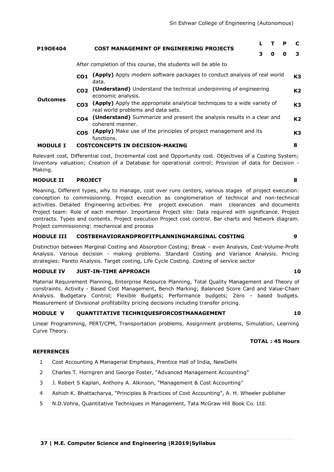| <b>P190E404</b> |                                                                                                                                   |   |   | P |    |  |  |  |  |  |
|-----------------|-----------------------------------------------------------------------------------------------------------------------------------|---|---|---|----|--|--|--|--|--|
|                 | <b>COST MANAGEMENT OF ENGINEERING PROJECTS</b>                                                                                    | 3 | O | o | з  |  |  |  |  |  |
|                 | After completion of this course, the students will be able to                                                                     |   |   |   |    |  |  |  |  |  |
|                 | (Apply) Apply modern software packages to conduct analysis of real world<br>CO <sub>1</sub><br>data.                              |   |   |   | K3 |  |  |  |  |  |
|                 | (Understand) Understand the technical underpinning of engineering<br>CO <sub>2</sub><br>economic analysis.                        |   |   |   |    |  |  |  |  |  |
| <b>Outcomes</b> | (Apply) Apply the appropriate analytical techniques to a wide variety of<br>CO <sub>3</sub><br>real world problems and data sets. |   |   |   |    |  |  |  |  |  |
|                 | (Understand) Summarize and present the analysis results in a clear and<br>CO <sub>4</sub><br>coherent manner.                     |   |   |   |    |  |  |  |  |  |
|                 | (Apply) Make use of the principles of project management and its<br>CO <sub>5</sub><br>functions.                                 |   |   |   | K3 |  |  |  |  |  |
| <b>MODULE I</b> | <b>COSTCONCEPTS IN DECISION-MAKING</b>                                                                                            |   |   |   |    |  |  |  |  |  |

Relevant cost, Differential cost, Incremental cost and Opportunity cost. Objectives of a Costing System; Inventory valuation; Creation of a Database for operational control; Provision of data for Decision - Making.

# **MODULE II PROJECT 8**

Meaning, Different types, why to manage, cost over runs centers, various stages of project execution: conception to commissioning. Project execution as conglomeration of technical and non-technical activities. Detailed Engineering activities. Pre project execution main clearances and documents Project team: Role of each member. Importance Project site: Data required with significance. Project contracts. Types and contents. Project execution Project cost control. Bar charts and Network diagram. Project commissioning: mechanical and process

# **MODULE III COSTBEHAVIORANDPROFITPLANNINGMARGINAL COSTING 9**

Distinction between Marginal Costing and Absorption Costing; Break – even Analysis, Cost-Volume-Profit Analysis. Various decision - making problems. Standard Costing and Variance Analysis. Pricing strategies: Pareto Analysis. Target costing, Life Cycle Costing. Costing of service sector

# **MODULE IV JUST-IN-TIME APPROACH 10**

Material Requirement Planning, Enterprise Resource Planning, Total Quality Management and Theory of constraints. Activity - Based Cost Management, Bench Marking; Balanced Score Card and Value-Chain Analysis. Budgetary Control; Flexible Budgets; Performance budgets; Zero – based budgets. Measurement of Divisional profitability pricing decisions including transfer pricing.

# **MODULE V QUANTITATIVE TECHNIQUESFORCOSTMANAGEMENT 10**

Linear Programming, PERT/CPM, Transportation problems, Assignment problems, Simulation, Learning Curve Theory.

# **TOTAL : 45 Hours**

- 1 Cost Accounting A Managerial Emphasis, Prentice Hall of India, NewDelhi
- 2 Charles T. Horngren and George Foster, "Advanced Management Accounting"
- 3 J. Robert S Kaplan, Anthony A. Alkinson, "Management & Cost Accounting"
- 4 Ashish K. Bhattacharya, "Principles & Practices of Cost Accounting", A. H. Wheeler publisher
- 5 N.D.Vohra, Quantitative Techniques in Management, Tata McGraw Hill Book Co. Ltd.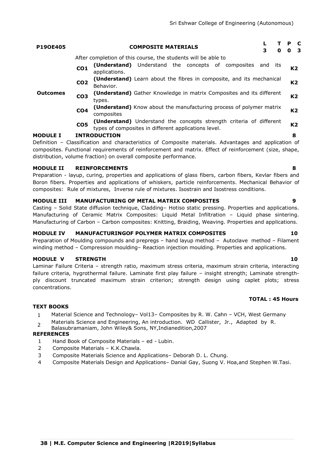| P190E405        |                 | <b>COMPOSITE MATERIALS</b>                                                        | з   | 0   | <b>P</b><br>0 | $\mathbf c$<br>- 3 |
|-----------------|-----------------|-----------------------------------------------------------------------------------|-----|-----|---------------|--------------------|
|                 |                 | After completion of this course, the students will be able to                     |     |     |               |                    |
|                 | CO <sub>1</sub> | Understand the concepts of composites<br>(Understand)<br>applications.            | and | its |               | K2                 |
|                 | CO <sub>2</sub> | (Understand) Learn about the fibres in composite, and its mechanical<br>Behavior. |     |     |               | K2                 |
| <b>Outcomes</b> | CO <sub>3</sub> | (Understand) Gather Knowledge in matrix Composites and its different<br>types.    |     |     |               | K2                 |
|                 | CO <sub>4</sub> | (Understand) Know about the manufacturing process of polymer matrix<br>composites |     |     |               | K2                 |

**CO5 (Understand)** Understand the concepts strength criteria of different types of composites in different applications level. **K2**

# **MODULE I INTRODUCTION 8**

Definition – Classification and characteristics of Composite materials. Advantages and application of composites. Functional requirements of reinforcement and matrix. Effect of reinforcement (size, shape, distribution, volume fraction) on overall composite performance.

# **MODULE II REINFORCEMENTS 8**

Preparation - layup, curing, properties and applications of glass fibers, carbon fibers, Kevlar fibers and Boron fibers. Properties and applications of whiskers, particle reinforcements. Mechanical Behavior of composites: Rule of mixtures, Inverse rule of mixtures. Isostrain and Isostress conditions.

### **MODULE III MANUFACTURING OF METAL MATRIX COMPOSITES 9**

Casting – Solid State diffusion technique, Cladding– Hotiso static pressing. Properties and applications. Manufacturing of Ceramic Matrix Composites: Liquid Metal Infiltration – Liquid phase sintering. Manufacturing of Carbon – Carbon composites: Knitting, Braiding, Weaving. Properties and applications.

#### **MODULE IV MANUFACTURINGOF POLYMER MATRIX COMPOSITES 10**

Preparation of Moulding compounds and prepregs – hand layup method – Autoclave method – Filament winding method – Compression moulding– Reaction injection moulding. Properties and applications.

### **MODULE V STRENGTH 10**

Laminar Failure Criteria – strength ratio, maximum stress criteria, maximum strain criteria, interacting failure criteria, hygrothermal failure. Laminate first play failure – insight strength; Laminate strengthply discount truncated maximum strain criterion; strength design using caplet plots; stress concentrations.

#### **TOTAL : 45 Hours**

#### **TEXT BOOKS**

- 1 Material Science and Technology– Vol13– Composites by R. W. Cahn VCH, West Germany
- $\overline{2}$ Materials Science and Engineering, An introduction. WD Callister, Jr., Adapted by R.
- Balasubramaniam, John Wiley& Sons, NY,Indianedition,2007

- 1 Hand Book of Composite Materials ed Lubin.
- 2 Composite Materials K.K.Chawla.
- 3 Composite Materials Science and Applications– Deborah D. L. Chung.
- 4 Composite Materials Design and Applications– Danial Gay, Suong V. Hoa,and Stephen W.Tasi.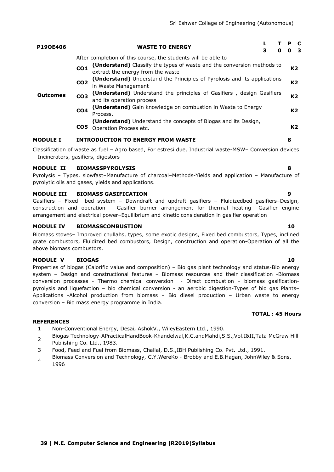| P190E406        |                 | <b>WASTE TO ENERGY</b>                                                                                      | 3 | O | P.<br>0 3 | -C             |
|-----------------|-----------------|-------------------------------------------------------------------------------------------------------------|---|---|-----------|----------------|
| <b>Outcomes</b> |                 | After completion of this course, the students will be able to                                               |   |   |           |                |
|                 | CO <sub>1</sub> | (Understand) Classify the types of waste and the conversion methods to<br>extract the energy from the waste |   |   |           | K2             |
|                 | CO <sub>2</sub> | (Understand) Understand the Principles of Pyrolosis and its applications<br>in Waste Management             |   |   |           | K <sub>2</sub> |
|                 | CO <sub>3</sub> | <b>(Understand)</b> Understand the principles of Gasifiers, design Gasifiers<br>and its operation process   |   |   |           | K2             |
|                 | CO <sub>4</sub> | (Understand) Gain knowledge on combustion in Waste to Energy<br>Process.                                    |   |   |           | K <sub>2</sub> |
|                 | CO <sub>5</sub> | <b>(Understand)</b> Understand the concepts of Biogas and its Design,<br>Operation Process etc.             |   |   |           | K <sub>2</sub> |
| <b>MODULE I</b> |                 | INTRODUCTION TO ENERGY FROM WASTE                                                                           |   |   | 8         |                |

Classification of waste as fuel – Agro based, For estresi due, Industrial waste-MSW– Conversion devices – Incinerators, gasifiers, digestors

# **MODULE II BIOMASSPYROLYSIS 8**

Pyrolysis – Types, slowfast–Manufacture of charcoal–Methods-Yields and application – Manufacture of pyrolytic oils and gases, yields and applications.

# **MODULE III BIOMASS GASIFICATION 9**

Gasifiers – Fixed bed system – Downdraft and updraft gasifiers – Fluidizedbed gasifiers–Design, construction and operation – Gasifier burner arrangement for thermal heating– Gasifier engine arrangement and electrical power–Equilibrium and kinetic consideration in gasifier operation

# **MODULE IV BIOMASSCOMBUSTION 10**

Biomass stoves– Improved chullahs, types, some exotic designs, Fixed bed combustors, Types, inclined grate combustors, Fluidized bed combustors, Design, construction and operation-Operation of all the above biomass combustors.

# **MODULE V BIOGAS 10**

Properties of biogas (Calorific value and composition) – Bio gas plant technology and status-Bio energy system – Design and constructional features – Biomass resources and their classification -Biomass conversion processes - Thermo chemical conversion - Direct combustion – biomass gasificationpyrolysis and liquefaction – bio chemical conversion - an aerobic digestion-Types of bio gas Plants– Applications -Alcohol production from biomass – Bio diesel production – Urban waste to energy conversion – Bio mass energy programme in India.

# **REFERENCES**

- 1 Non-Conventional Energy, Desai, AshokV., WileyEastern Ltd., 1990.
- 2 Biogas Technology-APracticalHandBook-Khandelwal,K.C.andMahdi,S.S.,Vol.I&II,Tata McGraw Hill Publishing Co. Ltd., 1983.
- 3 Food, Feed and Fuel from Biomass, Challal, D.S.,IBH Publishing Co. Pvt. Ltd., 1991.
- 4 Biomass Conversion and Technology, C.Y.WereKo - Brobby and E.B.Hagan, JohnWiley & Sons, 1996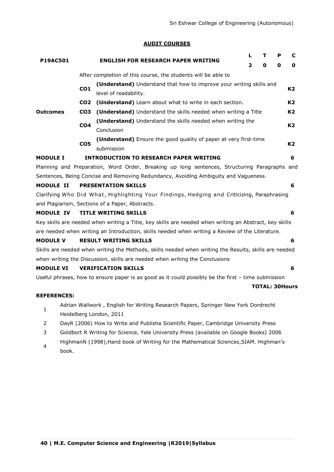### **AUDIT COURSES**

|                    |                 | <b>ENGLISH FOR RESEARCH PAPER WRITING</b>                                                              |   | т | Р | C                     |
|--------------------|-----------------|--------------------------------------------------------------------------------------------------------|---|---|---|-----------------------|
| <b>P19AC501</b>    |                 |                                                                                                        | 2 | 0 | 0 | 0                     |
|                    |                 | After completion of this course, the students will be able to                                          |   |   |   |                       |
|                    | CO <sub>1</sub> | (Understand) Understand that how to improve your writing skills and<br>level of readability.           |   |   |   | K <sub>2</sub>        |
|                    | CO <sub>2</sub> | (Understand) Learn about what to write in each section.                                                |   |   |   | K2                    |
| <b>Outcomes</b>    | CO <sub>3</sub> | (Understand) Understand the skills needed when writing a Title                                         |   |   |   | K2                    |
|                    | CO <sub>4</sub> | (Understand) Understand the skills needed when writing the<br>Conclusion                               |   |   |   | K2                    |
|                    | CO <sub>5</sub> | (Understand) Ensure the good quality of paper at very first-time<br>submission                         |   |   |   | K2                    |
| <b>MODULE I</b>    |                 | <b>INTRODUCTION TO RESEARCH PAPER WRITING</b>                                                          |   |   |   | 6                     |
|                    |                 | Planning and Preparation, Word Order, Breaking up long sentences, Structuring Paragraphs and           |   |   |   |                       |
|                    |                 | Sentences, Being Concise and Removing Redundancy, Avoiding Ambiguity and Vagueness.                    |   |   |   |                       |
| <b>MODULE II</b>   |                 | <b>PRESENTATION SKILLS</b>                                                                             |   |   |   | 6                     |
|                    |                 | Clarifying Who Did What, Highlighting Your Findings, Hedging and Criticizing, Paraphrasing             |   |   |   |                       |
|                    |                 | and Plagiarism, Sections of a Paper, Abstracts.                                                        |   |   |   |                       |
| <b>MODULE IV</b>   |                 | <b>TITLE WRITING SKILLS</b>                                                                            |   |   |   | 6                     |
|                    |                 | Key skills are needed when writing a Title, key skills are needed when writing an Abstract, key skills |   |   |   |                       |
|                    |                 | are needed when writing an Introduction, skills needed when writing a Review of the Literature.        |   |   |   |                       |
| <b>MODULE V</b>    |                 | <b>RESULT WRITING SKILLS</b>                                                                           |   |   |   | 6                     |
|                    |                 | Skills are needed when writing the Methods, skills needed when writing the Results, skills are needed  |   |   |   |                       |
|                    |                 | when writing the Discussion, skills are needed when writing the Conclusions                            |   |   |   |                       |
| <b>MODULE VI</b>   |                 | <b>VERIFICATION SKILLS</b>                                                                             |   |   |   | 6                     |
|                    |                 | Useful phrases, how to ensure paper is as good as it could possibly be the first - time submission     |   |   |   |                       |
|                    |                 |                                                                                                        |   |   |   | <b>TOTAL: 30Hours</b> |
| <b>REFERENCES:</b> |                 |                                                                                                        |   |   |   |                       |
| $\overline{1}$     |                 | Adrian Wallwork, English for Writing Research Papers, Springer New York Dordrecht                      |   |   |   |                       |

- 1 Heidelberg London, 2011
- 2 DayR (2006) How to Write and Publisha Scientific Paper, Cambridge University Press
- 3 Goldbort R Writing for Science, Yale University Press (available on Google Books) 2006
- 4 HighmanN (1998),Hand book of Writing for the Mathematical Sciences,SIAM. Highman's book.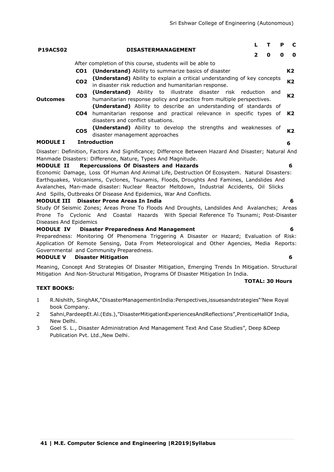|                                                                                            |                 |                                                                                                                                                                                                                                                                                        |                         | L<br>т<br>P |   | C              |  |  |  |  |  |  |
|--------------------------------------------------------------------------------------------|-----------------|----------------------------------------------------------------------------------------------------------------------------------------------------------------------------------------------------------------------------------------------------------------------------------------|-------------------------|-------------|---|----------------|--|--|--|--|--|--|
| <b>P19AC502</b>                                                                            |                 | <b>DISASTERMANAGEMENT</b>                                                                                                                                                                                                                                                              | $\overline{\mathbf{2}}$ | 0           | 0 | $\mathbf o$    |  |  |  |  |  |  |
|                                                                                            |                 | After completion of this course, students will be able to                                                                                                                                                                                                                              |                         |             |   |                |  |  |  |  |  |  |
|                                                                                            |                 | <b>CO1</b> (Understand) Ability to summarize basics of disaster                                                                                                                                                                                                                        |                         |             |   | K <sub>2</sub> |  |  |  |  |  |  |
| <b>Outcomes</b>                                                                            | CO <sub>2</sub> | (Understand) Ability to explain a critical understanding of key concepts<br>in disaster risk reduction and humanitarian response.                                                                                                                                                      |                         |             |   | K <sub>2</sub> |  |  |  |  |  |  |
|                                                                                            | CO <sub>3</sub> | (Understand) Ability to illustrate disaster risk reduction and<br>humanitarian response policy and practice from multiple perspectives.                                                                                                                                                |                         |             |   |                |  |  |  |  |  |  |
|                                                                                            | CO4             | (Understand) Ability to describe an understanding of standards of<br>humanitarian response and practical relevance in specific types of<br>disasters and conflict situations.                                                                                                          |                         |             |   | K2             |  |  |  |  |  |  |
|                                                                                            | CO <sub>5</sub> | (Understand) Ability to develop the strengths and weaknesses of<br>disaster management approaches                                                                                                                                                                                      |                         |             |   | K <sub>2</sub> |  |  |  |  |  |  |
| <b>MODULE I</b>                                                                            |                 | <b>Introduction</b>                                                                                                                                                                                                                                                                    |                         |             |   | 6              |  |  |  |  |  |  |
|                                                                                            |                 | Disaster: Definition, Factors And Significance; Difference Between Hazard And Disaster; Natural And<br>Manmade Disasters: Difference, Nature, Types And Magnitude.                                                                                                                     |                         |             |   |                |  |  |  |  |  |  |
| <b>MODULE II</b>                                                                           |                 | Repercussions Of Disasters and Hazards                                                                                                                                                                                                                                                 |                         |             |   | 6              |  |  |  |  |  |  |
|                                                                                            |                 | Economic Damage, Loss Of Human And Animal Life, Destruction Of Ecosystem. Natural Disasters:<br>Earthquakes, Volcanisms, Cyclones, Tsunamis, Floods, Droughts And Famines, Landslides And<br>Avalanches, Man-made disaster: Nuclear Reactor Meltdown, Industrial Accidents, Oil Slicks |                         |             |   |                |  |  |  |  |  |  |
|                                                                                            |                 | And Spills, Outbreaks Of Disease And Epidemics, War And Conflicts.                                                                                                                                                                                                                     |                         |             |   |                |  |  |  |  |  |  |
| <b>MODULE III</b>                                                                          |                 | Disaster Prone Areas In India                                                                                                                                                                                                                                                          |                         |             |   | 6              |  |  |  |  |  |  |
| Diseases And Epidemics                                                                     |                 | Study Of Seismic Zones; Areas Prone To Floods And Droughts, Landslides And Avalanches; Areas<br>Prone To Cyclonic And Coastal Hazards With Special Reference To Tsunami; Post-Disaster                                                                                                 |                         |             |   |                |  |  |  |  |  |  |
| <b>MODULE IV</b>                                                                           |                 | <b>Disaster Preparedness And Management</b>                                                                                                                                                                                                                                            |                         |             |   | 6              |  |  |  |  |  |  |
| Preparedness: Monitoring Of Phenomena Triggering A Disaster or Hazard; Evaluation of Risk: |                 |                                                                                                                                                                                                                                                                                        |                         |             |   |                |  |  |  |  |  |  |
| Application Of Remote Sensing, Data From Meteorological and Other Agencies, Media Reports: |                 |                                                                                                                                                                                                                                                                                        |                         |             |   |                |  |  |  |  |  |  |

Governmental and Community Preparedness.

### **MODULE V Disaster Mitigation 6**

Meaning, Concept And Strategies Of Disaster Mitigation, Emerging Trends In Mitigation. Structural Mitigation And Non-Structural Mitigation, Programs Of Disaster Mitigation In India.

#### **TOTAL: 30 Hours**

**TEXT BOOKS:**

- 1 R.Nishith, SinghAK, "DisasterManagementinIndia: Perspectives, issuesandstrategies "New Royal book Company.
- 2 Sahni, PardeepEt.Al.(Eds.), "DisasterMitigationExperiencesAndReflections", PrenticeHallOf India, New Delhi.
- 3 Goel S. L., Disaster Administration And Management Text And Case Studies", Deep &Deep Publication Pvt. Ltd., New Delhi.
- 
-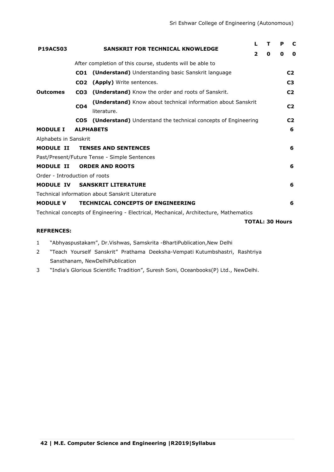| <b>P19AC503</b>               | <b>SANSKRIT FOR TECHNICAL KNOWLEDGE</b> |                                                                                       | L              | т                      | P | C              |
|-------------------------------|-----------------------------------------|---------------------------------------------------------------------------------------|----------------|------------------------|---|----------------|
|                               |                                         |                                                                                       | $\overline{2}$ | O                      | 0 | 0              |
|                               |                                         | After completion of this course, students will be able to                             |                |                        |   |                |
|                               | CO <sub>1</sub>                         | (Understand) Understanding basic Sanskrit language                                    |                |                        |   | C <sub>2</sub> |
| <b>Outcomes</b>               | CO <sub>2</sub>                         | (Apply) Write sentences.                                                              |                |                        |   | C <sub>3</sub> |
|                               | CO <sub>3</sub>                         | (Understand) Know the order and roots of Sanskrit.                                    |                |                        |   | C <sub>2</sub> |
|                               |                                         | (Understand) Know about technical information about Sanskrit                          |                |                        |   |                |
|                               | CO <sub>4</sub>                         | literature.                                                                           |                |                        |   | C <sub>2</sub> |
|                               | CO5                                     | (Understand) Understand the technical concepts of Engineering                         |                |                        |   | C <sub>2</sub> |
| <b>MODULE I</b>               |                                         | <b>ALPHABETS</b>                                                                      |                |                        |   | 6              |
| Alphabets in Sanskrit         |                                         |                                                                                       |                |                        |   |                |
| <b>MODULE II</b>              |                                         | <b>TENSES AND SENTENCES</b>                                                           |                |                        |   | 6              |
|                               |                                         | Past/Present/Future Tense - Simple Sentences                                          |                |                        |   |                |
| <b>MODULE II</b>              |                                         | <b>ORDER AND ROOTS</b>                                                                |                |                        |   | 6              |
| Order - Introduction of roots |                                         |                                                                                       |                |                        |   |                |
| <b>MODULE IV</b>              |                                         | <b>SANSKRIT LITERATURE</b>                                                            |                |                        |   | 6              |
|                               |                                         | Technical information about Sanskrit Literature                                       |                |                        |   |                |
| <b>MODULE V</b>               |                                         | <b>TECHNICAL CONCEPTS OF ENGINEERING</b>                                              |                |                        |   | 6              |
|                               |                                         | Technical concepts of Engineering - Electrical, Mechanical, Architecture, Mathematics |                |                        |   |                |
|                               |                                         |                                                                                       |                | <b>TOTAL: 30 Hours</b> |   |                |

# **REFRENCES:**

- 1 Nbhyaspustakam", Dr.Vishwas, Samskrita -BhartiPublication, New Delhi
- 2 "Teach Yourself Sanskrit" Prathama Deeksha-Vempati Kutumbshastri, Rashtriya Sansthanam, NewDelhiPublication
- 3 
"India's Glorious Scientific Tradition", Suresh Soni, Oceanbooks(P) Ltd., NewDelhi.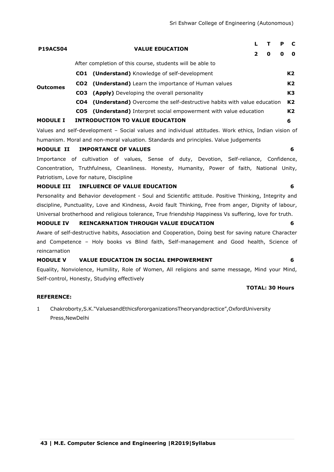| <b>P19AC504</b> | <b>VALUE EDUCATION</b> | P                                                                                 |   | $\mathbf c$    |
|-----------------|------------------------|-----------------------------------------------------------------------------------|---|----------------|
|                 |                        | 0<br>0                                                                            |   | 0              |
|                 |                        | After completion of this course, students will be able to                         |   |                |
|                 |                        | <b>CO1</b> (Understand) Knowledge of self-development                             |   | K2             |
| <b>Outcomes</b> |                        | <b>CO2</b> (Understand) Learn the importance of Human values                      |   | K <sub>2</sub> |
|                 |                        | <b>CO3</b> (Apply) Developing the overall personality                             |   | K3             |
|                 |                        | <b>CO4</b> (Understand) Overcome the self-destructive habits with value education |   | K2             |
|                 |                        | CO5 (Understand) Interpret social empowerment with value education                |   | K <sub>2</sub> |
| <b>MODULE I</b> |                        | <b>INTRODUCTION TO VALUE EDUCATION</b>                                            | 6 |                |

Values and self-development – Social values and individual attitudes. Work ethics, Indian vision of humanism. Moral and non-moral valuation. Standards and principles. Value judgements

#### **MODULE II IMPORTANCE OF VALUES 6**

Importance of cultivation of values, Sense of duty, Devotion, Self-reliance, Confidence, Concentration, Truthfulness, Cleanliness. Honesty, Humanity, Power of faith, National Unity, Patriotism, Love for nature, Discipline

#### **MODULE III INFLUENCE OF VALUE EDUCATION 6**

Personality and Behavior development - Soul and Scientific attitude. Positive Thinking, Integrity and discipline, Punctuality, Love and Kindness, Avoid fault Thinking, Free from anger, Dignity of labour, Universal brotherhood and religious tolerance, True friendship Happiness Vs suffering, love for truth.

#### **MODULE IV REINCARNATION THROUGH VALUE EDUCATION 6**

Aware of self-destructive habits, Association and Cooperation, Doing best for saving nature Character and Competence – Holy books vs Blind faith, Self-management and Good health, Science of reincarnation

### **MODULE V VALUE EDUCATION IN SOCIAL EMPOWERMENT 6**

Equality, Nonviolence, Humility, Role of Women, All religions and same message, Mind your Mind, Self-control, Honesty, Studying effectively

#### **TOTAL: 30 Hours**

#### **REFERENCE:**

# 1 Chakroborty, S.K. "ValuesandEthicsfororganizationsTheoryandpractice", OxfordUniversity Press,NewDelhi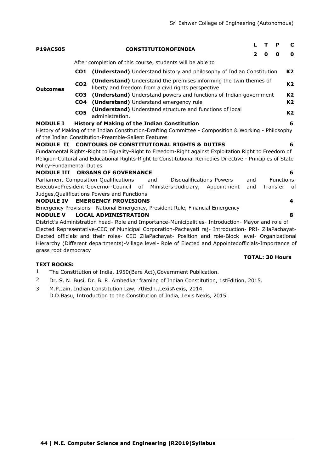**TOTAL: 30 Hours**

| <b>P19AC505</b>           |                                    | <b>CONSTITUTIONOFINDIA</b>                                                                                                                                                                                                                                                                                       | 2   | т<br>0 | P<br>0   | C<br>0               |
|---------------------------|------------------------------------|------------------------------------------------------------------------------------------------------------------------------------------------------------------------------------------------------------------------------------------------------------------------------------------------------------------|-----|--------|----------|----------------------|
|                           |                                    | After completion of this course, students will be able to                                                                                                                                                                                                                                                        |     |        |          |                      |
|                           | CO1                                | (Understand) Understand history and philosophy of Indian Constitution                                                                                                                                                                                                                                            |     |        |          | K2                   |
| <b>Outcomes</b>           | CO <sub>2</sub>                    | (Understand) Understand the premises informing the twin themes of<br>liberty and freedom from a civil rights perspective                                                                                                                                                                                         |     |        |          | K <sub>2</sub>       |
|                           | CO <sub>3</sub><br>CO <sub>4</sub> | (Understand) Understand powers and functions of Indian government<br>(Understand) Understand emergency rule                                                                                                                                                                                                      |     |        |          | K <sub>2</sub><br>K2 |
|                           | COS                                | (Understand) Understand structure and functions of local<br>administration.                                                                                                                                                                                                                                      |     |        |          | K <sub>2</sub>       |
| <b>MODULE I</b>           |                                    | <b>History of Making of the Indian Constitution</b><br>History of Making of the Indian Constitution-Drafting Committee - Composition & Working - Philosophy<br>of the Indian Constitution-Preamble-Salient Features                                                                                              |     |        |          | 6                    |
| <b>MODULE II</b>          |                                    | <b>CONTOURS OF CONSTITUTIONAL RIGHTS &amp; DUTIES</b>                                                                                                                                                                                                                                                            |     |        |          | 6                    |
|                           |                                    | Fundamental Rights-Right to Equality-Right to Freedom-Right against Exploitation Right to Freedom of                                                                                                                                                                                                             |     |        |          |                      |
|                           |                                    | Religion-Cultural and Educational Rights-Right to Constitutional Remedies Directive - Principles of State                                                                                                                                                                                                        |     |        |          |                      |
| Policy-Fundamental Duties |                                    |                                                                                                                                                                                                                                                                                                                  |     |        |          |                      |
| <b>MODULE III</b>         |                                    | <b>ORGANS OF GOVERNANCE</b>                                                                                                                                                                                                                                                                                      |     |        |          | 6                    |
|                           |                                    | Parliament-Composition-Qualifications<br>and<br>Disqualifications-Powers                                                                                                                                                                                                                                         | and |        |          | Functions-           |
|                           |                                    | ExecutivePresident-Governor-Council of<br>Ministers-Judiciary,<br>Appointment                                                                                                                                                                                                                                    | and |        | Transfer | - of                 |
|                           |                                    | Judges, Qualifications Powers and Functions                                                                                                                                                                                                                                                                      |     |        |          |                      |
| <b>MODULE IV</b>          |                                    | <b>EMERGENCY PROVISIONS</b>                                                                                                                                                                                                                                                                                      |     |        |          | 4                    |
|                           |                                    | Emergency Provisions - National Emergency, President Rule, Financial Emergency                                                                                                                                                                                                                                   |     |        |          |                      |
| <b>MODULE V</b>           |                                    | <b>LOCAL ADMINISTRATION</b>                                                                                                                                                                                                                                                                                      |     |        |          | 8                    |
|                           |                                    | District's Administration head- Role and Importance-Municipalities- Introduction- Mayor and role of<br>Elected Representative-CEO of Municipal Corporation-Pachayati raj- Introduction- PRI- ZilaPachayat-<br>Elected officials and their roles- CEO ZilaPachayat- Position and role-Block level- Organizational |     |        |          |                      |
| grass root democracy      |                                    | Hierarchy (Different departments)-Village level- Role of Elected and Appointedofficials-Importance of                                                                                                                                                                                                            |     |        |          |                      |

# **TEXT BOOKS:**

- 1 The Constitution of India, 1950(Bare Act),Government Publication.
- 2 Dr. S. N. Busi, Dr. B. R. Ambedkar framing of Indian Constitution, 1stEdition, 2015.
- 3 M.P.Jain, Indian Constitution Law, 7thEdn.,LexisNexis, 2014. D.D.Basu, Introduction to the Constitution of India, Lexis Nexis, 2015.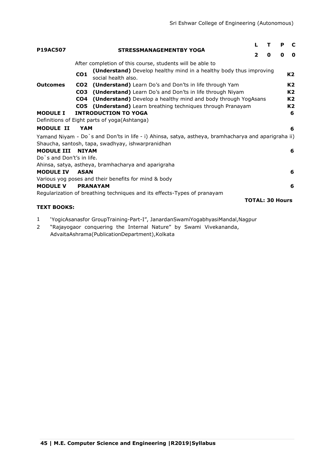|                           |                 |                                                                                                     |   |                        |   | C              |
|---------------------------|-----------------|-----------------------------------------------------------------------------------------------------|---|------------------------|---|----------------|
| <b>P19AC507</b>           |                 | <b>STRESSMANAGEMENTBY YOGA</b>                                                                      | 2 | 0                      | O | 0              |
|                           |                 | After completion of this course, students will be able to                                           |   |                        |   |                |
| <b>Outcomes</b>           | CO <sub>1</sub> | (Understand) Develop healthy mind in a healthy body thus improving<br>social health also.           |   |                        |   | K <sub>2</sub> |
|                           | CO <sub>2</sub> | <b>(Understand)</b> Learn Do's and Don'ts in life through Yam                                       |   |                        |   | K <sub>2</sub> |
|                           | CO <sub>3</sub> | (Understand) Learn Do's and Don'ts in life through Niyam                                            |   |                        |   | K <sub>2</sub> |
|                           | CO <sub>4</sub> | <b>(Understand)</b> Develop a healthy mind and body through YogAsans                                |   |                        |   | K2             |
|                           |                 | <b>CO5</b> (Understand) Learn breathing techniques through Pranayam                                 |   |                        |   | K <sub>2</sub> |
| <b>MODULE I</b>           |                 | <b>INTRODUCTION TO YOGA</b>                                                                         |   |                        |   | 6              |
|                           |                 | Definitions of Eight parts of yoga(Ashtanga)                                                        |   |                        |   |                |
| <b>MODULE II</b>          | YAM             |                                                                                                     |   |                        |   | 6              |
|                           |                 | Yamand Niyam - Do`s and Don'ts in life - i) Ahinsa, satya, astheya, bramhacharya and aparigraha ii) |   |                        |   |                |
|                           |                 | Shaucha, santosh, tapa, swadhyay, ishwarpranidhan                                                   |   |                        |   |                |
| <b>MODULE III NIYAM</b>   |                 |                                                                                                     |   |                        |   | 6              |
| Do s and Don't's in life. |                 |                                                                                                     |   |                        |   |                |
|                           |                 | Ahinsa, satya, astheya, bramhacharya and aparigraha                                                 |   |                        |   |                |
| <b>MODULE IV</b>          | <b>ASAN</b>     |                                                                                                     |   |                        |   | 6              |
|                           |                 | Various yog poses and their benefits for mind & body                                                |   |                        |   |                |
| <b>MODULE V</b>           |                 | <b>PRANAYAM</b>                                                                                     |   |                        |   | 6              |
|                           |                 | Regularization of breathing techniques and its effects-Types of pranayam                            |   |                        |   |                |
|                           |                 |                                                                                                     |   | <b>TOTAL: 30 Hours</b> |   |                |
| <b>TEXT BOOKS:</b>        |                 |                                                                                                     |   |                        |   |                |

- 1 ‗YogicAsanasfor GroupTraining-Part-I‖, JanardanSwamiYogabhyasiMandal,Nagpur
- 2 ―Rajayogaor conquering the Internal Nature‖ by Swami Vivekananda, AdvaitaAshrama(PublicationDepartment),Kolkata